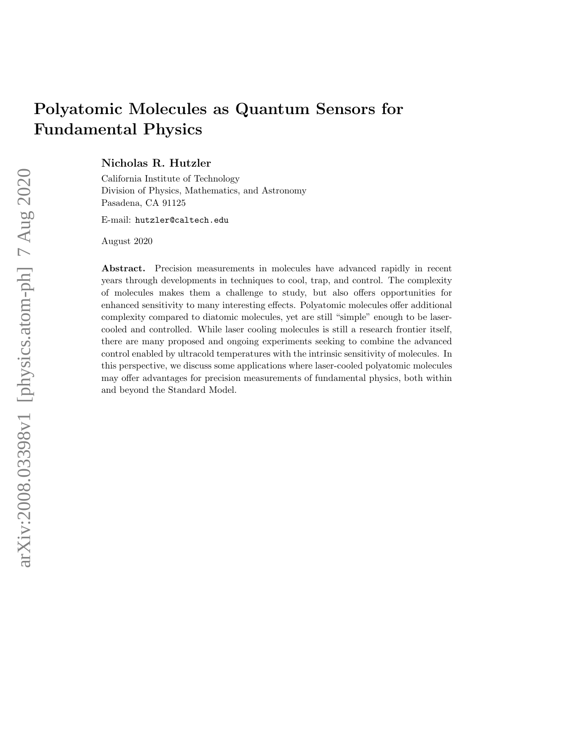# Polyatomic Molecules as Quantum Sensors for Fundamental Physics

Nicholas R. Hutzler

California Institute of Technology Division of Physics, Mathematics, and Astronomy Pasadena, CA 91125

E-mail: hutzler@caltech.edu

August 2020

Abstract. Precision measurements in molecules have advanced rapidly in recent years through developments in techniques to cool, trap, and control. The complexity of molecules makes them a challenge to study, but also offers opportunities for enhanced sensitivity to many interesting effects. Polyatomic molecules offer additional complexity compared to diatomic molecules, yet are still "simple" enough to be lasercooled and controlled. While laser cooling molecules is still a research frontier itself, there are many proposed and ongoing experiments seeking to combine the advanced control enabled by ultracold temperatures with the intrinsic sensitivity of molecules. In this perspective, we discuss some applications where laser-cooled polyatomic molecules may offer advantages for precision measurements of fundamental physics, both within and beyond the Standard Model.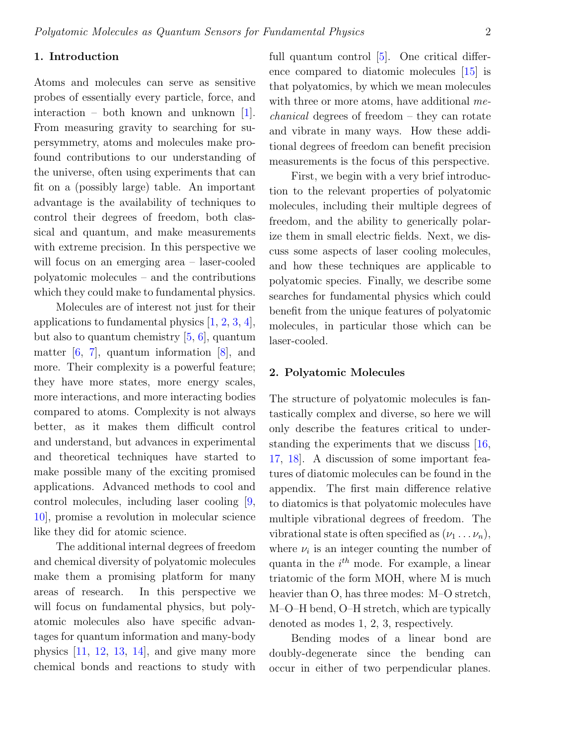# 1. Introduction

Atoms and molecules can serve as sensitive probes of essentially every particle, force, and interaction – both known and unknown [\[1\]](#page-19-0). From measuring gravity to searching for supersymmetry, atoms and molecules make profound contributions to our understanding of the universe, often using experiments that can fit on a (possibly large) table. An important advantage is the availability of techniques to control their degrees of freedom, both classical and quantum, and make measurements with extreme precision. In this perspective we will focus on an emerging area – laser-cooled polyatomic molecules – and the contributions which they could make to fundamental physics.

Molecules are of interest not just for their applications to fundamental physics [\[1,](#page-19-0) [2,](#page-19-1) [3,](#page-19-2) [4\]](#page-19-3), but also to quantum chemistry [\[5,](#page-19-4) [6\]](#page-19-5), quantum matter [\[6,](#page-19-5) [7\]](#page-19-6), quantum information [\[8\]](#page-19-7), and more. Their complexity is a powerful feature; they have more states, more energy scales, more interactions, and more interacting bodies compared to atoms. Complexity is not always better, as it makes them difficult control and understand, but advances in experimental and theoretical techniques have started to make possible many of the exciting promised applications. Advanced methods to cool and control molecules, including laser cooling [\[9,](#page-19-8) [10\]](#page-19-9), promise a revolution in molecular science like they did for atomic science.

The additional internal degrees of freedom and chemical diversity of polyatomic molecules make them a promising platform for many areas of research. In this perspective we will focus on fundamental physics, but polyatomic molecules also have specific advantages for quantum information and many-body physics  $[11, 12, 13, 14]$  $[11, 12, 13, 14]$  $[11, 12, 13, 14]$  $[11, 12, 13, 14]$  $[11, 12, 13, 14]$  $[11, 12, 13, 14]$  $[11, 12, 13, 14]$ , and give many more chemical bonds and reactions to study with full quantum control [\[5\]](#page-19-4). One critical difference compared to diatomic molecules [\[15\]](#page-19-14) is that polyatomics, by which we mean molecules with three or more atoms, have additional mechanical degrees of freedom – they can rotate and vibrate in many ways. How these additional degrees of freedom can benefit precision measurements is the focus of this perspective.

First, we begin with a very brief introduction to the relevant properties of polyatomic molecules, including their multiple degrees of freedom, and the ability to generically polarize them in small electric fields. Next, we discuss some aspects of laser cooling molecules, and how these techniques are applicable to polyatomic species. Finally, we describe some searches for fundamental physics which could benefit from the unique features of polyatomic molecules, in particular those which can be laser-cooled.

## 2. Polyatomic Molecules

The structure of polyatomic molecules is fantastically complex and diverse, so here we will only describe the features critical to understanding the experiments that we discuss [\[16,](#page-19-15) [17,](#page-19-16) [18\]](#page-19-17). A discussion of some important features of diatomic molecules can be found in the appendix. The first main difference relative to diatomics is that polyatomic molecules have multiple vibrational degrees of freedom. The vibrational state is often specified as  $(\nu_1 \ldots \nu_n)$ , where  $\nu_i$  is an integer counting the number of quanta in the  $i^{th}$  mode. For example, a linear triatomic of the form MOH, where M is much heavier than O, has three modes: M–O stretch, M–O–H bend, O–H stretch, which are typically denoted as modes 1, 2, 3, respectively.

Bending modes of a linear bond are doubly-degenerate since the bending can occur in either of two perpendicular planes.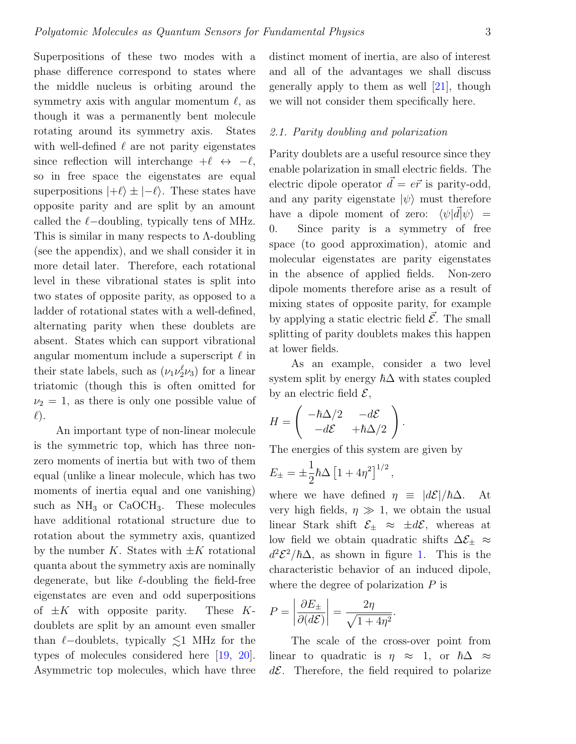Superpositions of these two modes with a phase difference correspond to states where the middle nucleus is orbiting around the symmetry axis with angular momentum  $\ell$ , as though it was a permanently bent molecule rotating around its symmetry axis. States with well-defined  $\ell$  are not parity eigenstates since reflection will interchange  $+\ell \leftrightarrow -\ell$ , so in free space the eigenstates are equal superpositions  $|+\ell\rangle \pm |-\ell\rangle$ . These states have opposite parity and are split by an amount called the  $\ell$ −doubling, typically tens of MHz. This is similar in many respects to  $\Lambda$ -doubling (see the appendix), and we shall consider it in more detail later. Therefore, each rotational level in these vibrational states is split into two states of opposite parity, as opposed to a ladder of rotational states with a well-defined, alternating parity when these doublets are absent. States which can support vibrational angular momentum include a superscript  $\ell$  in their state labels, such as  $(\nu_1 \nu_2^{\ell} \nu_3)$  for a linear triatomic (though this is often omitted for  $\nu_2 = 1$ , as there is only one possible value of  $\ell$ ).

An important type of non-linear molecule is the symmetric top, which has three nonzero moments of inertia but with two of them equal (unlike a linear molecule, which has two moments of inertia equal and one vanishing) such as  $NH_3$  or  $CaOCH_3$ . These molecules have additional rotational structure due to rotation about the symmetry axis, quantized by the number K. States with  $\pm K$  rotational quanta about the symmetry axis are nominally degenerate, but like  $\ell$ -doubling the field-free eigenstates are even and odd superpositions of  $\pm K$  with opposite parity. These Kdoublets are split by an amount even smaller than  $\ell$ –doublets, typically  $\leq 1$  MHz for the types of molecules considered here [\[19,](#page-19-18) [20\]](#page-19-19). Asymmetric top molecules, which have three

distinct moment of inertia, are also of interest and all of the advantages we shall discuss generally apply to them as well [\[21\]](#page-20-0), though we will not consider them specifically here.

### 2.1. Parity doubling and polarization

Parity doublets are a useful resource since they enable polarization in small electric fields. The electric dipole operator  $\vec{d} = e\vec{r}$  is parity-odd, and any parity eigenstate  $|\psi\rangle$  must therefore have a dipole moment of zero:  $\langle \psi | \vec{d} | \psi \rangle$  = 0. Since parity is a symmetry of free space (to good approximation), atomic and molecular eigenstates are parity eigenstates in the absence of applied fields. Non-zero dipole moments therefore arise as a result of mixing states of opposite parity, for example by applying a static electric field  $\mathcal{E}$ . The small splitting of parity doublets makes this happen at lower fields.

As an example, consider a two level system split by energy  $\hbar\Delta$  with states coupled by an electric field  $\mathcal{E}$ ,

.

$$
H = \begin{pmatrix} -\hbar \Delta/2 & -d\mathcal{E} \\ -d\mathcal{E} & +\hbar \Delta/2 \end{pmatrix}
$$

The energies of this system are given by

$$
E_{\pm} = \pm \frac{1}{2} \hbar \Delta \left[ 1 + 4 \eta^2 \right]^{1/2},
$$

where we have defined  $\eta \equiv |d\mathcal{E}|/\hbar\Delta$ . At very high fields,  $\eta \gg 1$ , we obtain the usual linear Stark shift  $\mathcal{E}_{\pm} \approx \pm d\mathcal{E}$ , whereas at low field we obtain quadratic shifts  $\Delta \mathcal{E}_{\pm} \approx$  $d^2\mathcal{E}^2/\hbar\Delta$ , as shown in figure [1.](#page-3-0) This is the characteristic behavior of an induced dipole, where the degree of polarization  $P$  is

$$
P = \left| \frac{\partial E_{\pm}}{\partial (d\mathcal{E})} \right| = \frac{2\eta}{\sqrt{1 + 4\eta^2}}
$$

The scale of the cross-over point from linear to quadratic is  $\eta \approx 1$ , or  $\hbar \Delta \approx$  $d\mathcal{E}$ . Therefore, the field required to polarize

.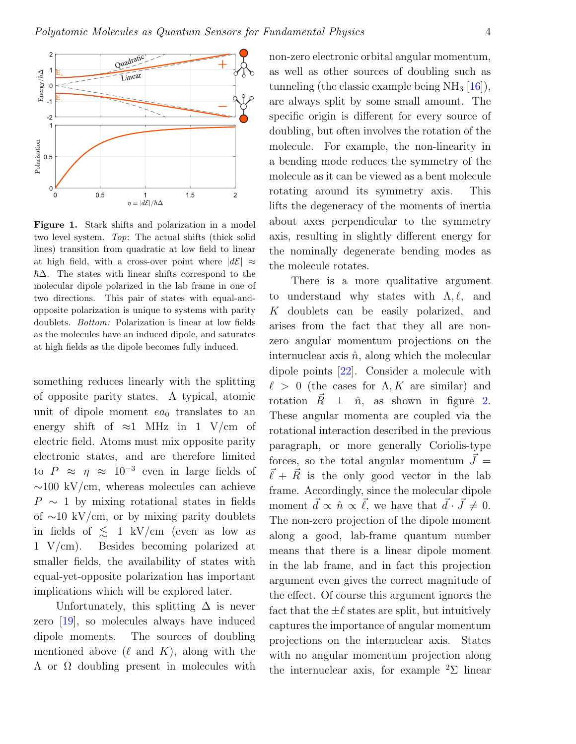

<span id="page-3-0"></span>Figure 1. Stark shifts and polarization in a model two level system. Top: The actual shifts (thick solid lines) transition from quadratic at low field to linear at high field, with a cross-over point where  $|d\mathcal{E}| \approx$  $\hbar\Delta$ . The states with linear shifts correspond to the molecular dipole polarized in the lab frame in one of two directions. This pair of states with equal-andopposite polarization is unique to systems with parity doublets. Bottom: Polarization is linear at low fields as the molecules have an induced dipole, and saturates at high fields as the dipole becomes fully induced.

something reduces linearly with the splitting of opposite parity states. A typical, atomic unit of dipole moment  $ea_0$  translates to an energy shift of  $\approx$ 1 MHz in 1 V/cm of electric field. Atoms must mix opposite parity electronic states, and are therefore limited to  $P \approx \eta \approx 10^{-3}$  even in large fields of  $\sim$ 100 kV/cm, whereas molecules can achieve  $P \sim 1$  by mixing rotational states in fields of ∼10 kV/cm, or by mixing parity doublets in fields of  $\leq 1$  kV/cm (even as low as 1 V/cm). Besides becoming polarized at smaller fields, the availability of states with equal-yet-opposite polarization has important implications which will be explored later.

Unfortunately, this splitting  $\Delta$  is never zero [\[19\]](#page-19-18), so molecules always have induced dipole moments. The sources of doubling mentioned above  $(\ell \text{ and } K)$ , along with the  $Λ$  or  $Ω$  doubling present in molecules with

non-zero electronic orbital angular momentum, as well as other sources of doubling such as tunneling (the classic example being  $NH<sub>3</sub>$  [\[16\]](#page-19-15)), are always split by some small amount. The specific origin is different for every source of doubling, but often involves the rotation of the molecule. For example, the non-linearity in a bending mode reduces the symmetry of the molecule as it can be viewed as a bent molecule rotating around its symmetry axis. This lifts the degeneracy of the moments of inertia about axes perpendicular to the symmetry axis, resulting in slightly different energy for the nominally degenerate bending modes as the molecule rotates.

There is a more qualitative argument to understand why states with  $\Lambda, \ell, \text{ and}$ K doublets can be easily polarized, and arises from the fact that they all are nonzero angular momentum projections on the internuclear axis  $\hat{n}$ , along which the molecular dipole points [\[22\]](#page-20-1). Consider a molecule with  $\ell > 0$  (the cases for  $\Lambda, K$  are similar) and rotation  $\vec{R} \perp \hat{n}$ , as shown in figure [2.](#page-4-0) These angular momenta are coupled via the rotational interaction described in the previous paragraph, or more generally Coriolis-type forces, so the total angular momentum  $\vec{J} =$  $\vec{\ell} + \vec{R}$  is the only good vector in the lab frame. Accordingly, since the molecular dipole moment  $\vec{d} \propto \hat{n} \propto \vec{\ell}$ , we have that  $\vec{d} \cdot \vec{J} \neq 0$ . The non-zero projection of the dipole moment along a good, lab-frame quantum number means that there is a linear dipole moment in the lab frame, and in fact this projection argument even gives the correct magnitude of the effect. Of course this argument ignores the fact that the  $\pm \ell$  states are split, but intuitively captures the importance of angular momentum projections on the internuclear axis. States with no angular momentum projection along the internuclear axis, for example  ${}^{2}\Sigma$  linear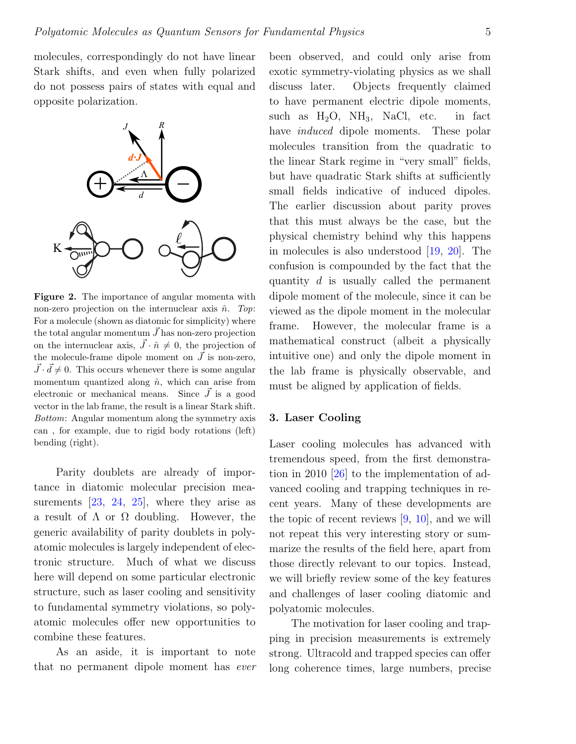molecules, correspondingly do not have linear Stark shifts, and even when fully polarized do not possess pairs of states with equal and opposite polarization.



<span id="page-4-0"></span>Figure 2. The importance of angular momenta with non-zero projection on the internuclear axis  $\hat{n}$ . Top: For a molecule (shown as diatomic for simplicity) where the total angular momentum  $\vec{J}$  has non-zero projection on the internuclear axis,  $\vec{J} \cdot \hat{n} \neq 0$ , the projection of the molecule-frame dipole moment on  $\vec{J}$  is non-zero,  $\vec{J} \cdot \vec{d} \neq 0$ . This occurs whenever there is some angular momentum quantized along  $\hat{n}$ , which can arise from electronic or mechanical means. Since  $\vec{J}$  is a good vector in the lab frame, the result is a linear Stark shift. Bottom: Angular momentum along the symmetry axis can , for example, due to rigid body rotations (left) bending (right).

Parity doublets are already of importance in diatomic molecular precision measurements  $[23, 24, 25]$  $[23, 24, 25]$  $[23, 24, 25]$  $[23, 24, 25]$  $[23, 24, 25]$ , where they arise as a result of  $\Lambda$  or  $\Omega$  doubling. However, the generic availability of parity doublets in polyatomic molecules is largely independent of electronic structure. Much of what we discuss here will depend on some particular electronic structure, such as laser cooling and sensitivity to fundamental symmetry violations, so polyatomic molecules offer new opportunities to combine these features.

As an aside, it is important to note that no permanent dipole moment has ever been observed, and could only arise from exotic symmetry-violating physics as we shall discuss later. Objects frequently claimed to have permanent electric dipole moments, such as  $H_2O$ ,  $NH_3$ , NaCl, etc. in fact have *induced* dipole moments. These polar molecules transition from the quadratic to the linear Stark regime in "very small" fields, but have quadratic Stark shifts at sufficiently small fields indicative of induced dipoles. The earlier discussion about parity proves that this must always be the case, but the physical chemistry behind why this happens in molecules is also understood [\[19,](#page-19-18) [20\]](#page-19-19). The confusion is compounded by the fact that the quantity d is usually called the permanent dipole moment of the molecule, since it can be viewed as the dipole moment in the molecular frame. However, the molecular frame is a mathematical construct (albeit a physically intuitive one) and only the dipole moment in the lab frame is physically observable, and must be aligned by application of fields.

## 3. Laser Cooling

Laser cooling molecules has advanced with tremendous speed, from the first demonstration in 2010 [\[26\]](#page-20-5) to the implementation of advanced cooling and trapping techniques in recent years. Many of these developments are the topic of recent reviews  $[9, 10]$  $[9, 10]$  $[9, 10]$ , and we will not repeat this very interesting story or summarize the results of the field here, apart from those directly relevant to our topics. Instead, we will briefly review some of the key features and challenges of laser cooling diatomic and polyatomic molecules.

The motivation for laser cooling and trapping in precision measurements is extremely strong. Ultracold and trapped species can offer long coherence times, large numbers, precise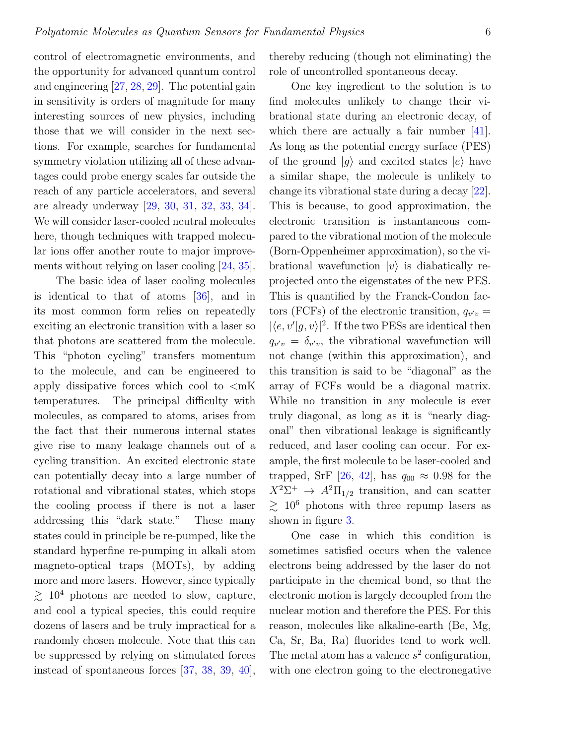control of electromagnetic environments, and the opportunity for advanced quantum control and engineering [\[27,](#page-20-6) [28,](#page-20-7) [29\]](#page-20-8). The potential gain in sensitivity is orders of magnitude for many interesting sources of new physics, including those that we will consider in the next sections. For example, searches for fundamental symmetry violation utilizing all of these advantages could probe energy scales far outside the reach of any particle accelerators, and several are already underway [\[29,](#page-20-8) [30,](#page-20-9) [31,](#page-20-10) [32,](#page-20-11) [33,](#page-20-12) [34\]](#page-20-13). We will consider laser-cooled neutral molecules here, though techniques with trapped molecular ions offer another route to major improvements without relying on laser cooling [\[24,](#page-20-3) [35\]](#page-20-14).

The basic idea of laser cooling molecules is identical to that of atoms [\[36\]](#page-20-15), and in its most common form relies on repeatedly exciting an electronic transition with a laser so that photons are scattered from the molecule. This "photon cycling" transfers momentum to the molecule, and can be engineered to apply dissipative forces which cool to  $\langle mK \rangle$ temperatures. The principal difficulty with molecules, as compared to atoms, arises from the fact that their numerous internal states give rise to many leakage channels out of a cycling transition. An excited electronic state can potentially decay into a large number of rotational and vibrational states, which stops the cooling process if there is not a laser addressing this "dark state." These many states could in principle be re-pumped, like the standard hyperfine re-pumping in alkali atom magneto-optical traps (MOTs), by adding more and more lasers. However, since typically  $\geq 10^4$  photons are needed to slow, capture, and cool a typical species, this could require dozens of lasers and be truly impractical for a randomly chosen molecule. Note that this can be suppressed by relying on stimulated forces instead of spontaneous forces [\[37,](#page-20-16) [38,](#page-20-17) [39,](#page-20-18) [40\]](#page-20-19), thereby reducing (though not eliminating) the role of uncontrolled spontaneous decay.

One key ingredient to the solution is to find molecules unlikely to change their vibrational state during an electronic decay, of which there are actually a fair number [\[41\]](#page-20-20). As long as the potential energy surface (PES) of the ground  $|q\rangle$  and excited states  $|e\rangle$  have a similar shape, the molecule is unlikely to change its vibrational state during a decay [\[22\]](#page-20-1). This is because, to good approximation, the electronic transition is instantaneous compared to the vibrational motion of the molecule (Born-Oppenheimer approximation), so the vibrational wavefunction  $|v\rangle$  is diabatically reprojected onto the eigenstates of the new PES. This is quantified by the Franck-Condon factors (FCFs) of the electronic transition,  $q_{v'v} =$  $|\langle e, v'|g, v \rangle|^2$ . If the two PESs are identical then  $q_{v'v} = \delta_{v'v}$ , the vibrational wavefunction will not change (within this approximation), and this transition is said to be "diagonal" as the array of FCFs would be a diagonal matrix. While no transition in any molecule is ever truly diagonal, as long as it is "nearly diagonal" then vibrational leakage is significantly reduced, and laser cooling can occur. For example, the first molecule to be laser-cooled and trapped, SrF [\[26,](#page-20-5) [42\]](#page-20-21), has  $q_{00} \approx 0.98$  for the  $X^2\Sigma^+$   $\rightarrow$   $A^2\Pi_{1/2}$  transition, and can scatter  $\gtrsim 10^6$  photons with three repump lasers as shown in figure [3.](#page-6-0)

One case in which this condition is sometimes satisfied occurs when the valence electrons being addressed by the laser do not participate in the chemical bond, so that the electronic motion is largely decoupled from the nuclear motion and therefore the PES. For this reason, molecules like alkaline-earth (Be, Mg, Ca, Sr, Ba, Ra) fluorides tend to work well. The metal atom has a valence  $s^2$  configuration, with one electron going to the electronegative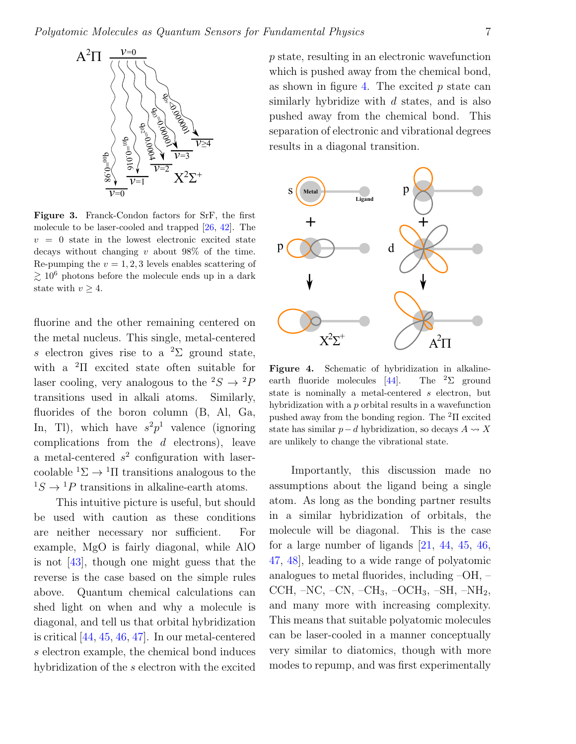

<span id="page-6-0"></span>Figure 3. Franck-Condon factors for SrF, the first molecule to be laser-cooled and trapped [\[26,](#page-20-5) [42\]](#page-20-21). The  $v = 0$  state in the lowest electronic excited state decays without changing  $v$  about 98% of the time. Re-pumping the  $v = 1, 2, 3$  levels enables scattering of  $\geq 10^6$  photons before the molecule ends up in a dark state with  $v \geq 4$ .

fluorine and the other remaining centered on the metal nucleus. This single, metal-centered s electron gives rise to a <sup>2</sup> $\Sigma$  ground state, with a <sup>2</sup>Π excited state often suitable for laser cooling, very analogous to the  ${}^2S \rightarrow {}^2P$ transitions used in alkali atoms. Similarly, fluorides of the boron column (B, Al, Ga, In, Tl), which have  $s^2p^1$  valence (ignoring complications from the  $d$  electrons), leave a metal-centered  $s^2$  configuration with lasercoolable  ${}^{1}\Sigma \rightarrow {}^{1}\Pi$  transitions analogous to the  ${}^{1}S \rightarrow {}^{1}P$  transitions in alkaline-earth atoms.

This intuitive picture is useful, but should be used with caution as these conditions are neither necessary nor sufficient. For example, MgO is fairly diagonal, while AlO is not [\[43\]](#page-21-0), though one might guess that the reverse is the case based on the simple rules above. Quantum chemical calculations can shed light on when and why a molecule is diagonal, and tell us that orbital hybridization is critical [\[44,](#page-21-1) [45,](#page-21-2) [46,](#page-21-3) [47\]](#page-21-4). In our metal-centered s electron example, the chemical bond induces hybridization of the s electron with the excited

p state, resulting in an electronic wavefunction which is pushed away from the chemical bond, as shown in figure [4.](#page-6-1) The excited  $p$  state can similarly hybridize with d states, and is also pushed away from the chemical bond. This separation of electronic and vibrational degrees results in a diagonal transition.



<span id="page-6-1"></span>Figure 4. Schematic of hybridization in alkaline-earth fluoride molecules [\[44\]](#page-21-1). The <sup>2</sup>Σ ground state is nominally a metal-centered s electron, but hybridization with a p orbital results in a wavefunction pushed away from the bonding region. The  ${}^{2}$ II excited state has similar  $p-d$  hybridization, so decays  $A \leadsto X$ are unlikely to change the vibrational state.

Importantly, this discussion made no assumptions about the ligand being a single atom. As long as the bonding partner results in a similar hybridization of orbitals, the molecule will be diagonal. This is the case for a large number of ligands [\[21,](#page-20-0) [44,](#page-21-1) [45,](#page-21-2) [46,](#page-21-3) [47,](#page-21-4) [48\]](#page-21-5), leading to a wide range of polyatomic analogues to metal fluorides, including –OH, – CCH,  $-NC$ ,  $-CN$ ,  $-CH_3$ ,  $-OCH_3$ ,  $-SH$ ,  $-NH_2$ , and many more with increasing complexity. This means that suitable polyatomic molecules can be laser-cooled in a manner conceptually very similar to diatomics, though with more modes to repump, and was first experimentally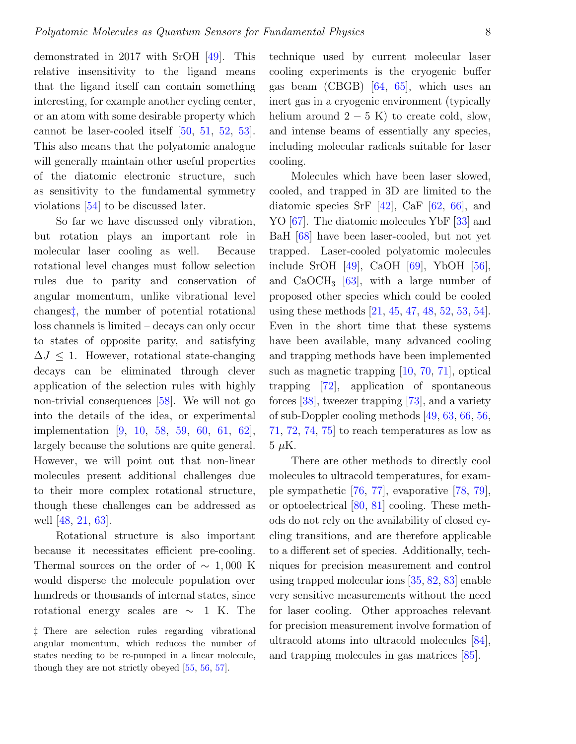demonstrated in 2017 with SrOH [\[49\]](#page-21-6). This relative insensitivity to the ligand means that the ligand itself can contain something interesting, for example another cycling center, or an atom with some desirable property which cannot be laser-cooled itself [\[50,](#page-21-7) [51,](#page-21-8) [52,](#page-21-9) [53\]](#page-21-10). This also means that the polyatomic analogue will generally maintain other useful properties of the diatomic electronic structure, such as sensitivity to the fundamental symmetry violations [\[54\]](#page-21-11) to be discussed later.

So far we have discussed only vibration, but rotation plays an important role in molecular laser cooling as well. Because rotational level changes must follow selection rules due to parity and conservation of angular momentum, unlike vibrational level changes[‡](#page-7-0), the number of potential rotational loss channels is limited – decays can only occur to states of opposite parity, and satisfying  $\Delta J \leq 1$ . However, rotational state-changing decays can be eliminated through clever application of the selection rules with highly non-trivial consequences [\[58\]](#page-21-12). We will not go into the details of the idea, or experimental implementation [\[9,](#page-19-8) [10,](#page-19-9) [58,](#page-21-12) [59,](#page-21-13) [60,](#page-21-14) [61,](#page-21-15) [62\]](#page-21-16), largely because the solutions are quite general. However, we will point out that non-linear molecules present additional challenges due to their more complex rotational structure, though these challenges can be addressed as well [\[48,](#page-21-5) [21,](#page-20-0) [63\]](#page-21-17).

Rotational structure is also important because it necessitates efficient pre-cooling. Thermal sources on the order of  $\sim 1,000$  K would disperse the molecule population over hundreds or thousands of internal states, since rotational energy scales are  $\sim$  1 K. The technique used by current molecular laser cooling experiments is the cryogenic buffer gas beam (CBGB) [\[64,](#page-21-21) [65\]](#page-21-22), which uses an inert gas in a cryogenic environment (typically helium around  $2 - 5$  K) to create cold, slow, and intense beams of essentially any species, including molecular radicals suitable for laser cooling.

Molecules which have been laser slowed, cooled, and trapped in 3D are limited to the diatomic species SrF  $[42]$ , CaF  $[62, 66]$  $[62, 66]$  $[62, 66]$ , and YO [\[67\]](#page-22-0). The diatomic molecules YbF [\[33\]](#page-20-12) and BaH [\[68\]](#page-22-1) have been laser-cooled, but not yet trapped. Laser-cooled polyatomic molecules include SrOH [\[49\]](#page-21-6), CaOH [\[69\]](#page-22-2), YbOH [\[56\]](#page-21-19), and  $CaOCH<sub>3</sub>$  [\[63\]](#page-21-17), with a large number of proposed other species which could be cooled using these methods [\[21,](#page-20-0) [45,](#page-21-2) [47,](#page-21-4) [48,](#page-21-5) [52,](#page-21-9) [53,](#page-21-10) [54\]](#page-21-11). Even in the short time that these systems have been available, many advanced cooling and trapping methods have been implemented such as magnetic trapping [\[10,](#page-19-9) [70,](#page-22-3) [71\]](#page-22-4), optical trapping [\[72\]](#page-22-5), application of spontaneous forces [\[38\]](#page-20-17), tweezer trapping [\[73\]](#page-22-6), and a variety of sub-Doppler cooling methods [\[49,](#page-21-6) [63,](#page-21-17) [66,](#page-21-23) [56,](#page-21-19) [71,](#page-22-4) [72,](#page-22-5) [74,](#page-22-7) [75\]](#page-22-8) to reach temperatures as low as  $5 \mu K$ .

There are other methods to directly cool molecules to ultracold temperatures, for example sympathetic [\[76,](#page-22-9) [77\]](#page-22-10), evaporative [\[78,](#page-22-11) [79\]](#page-22-12), or optoelectrical [\[80,](#page-22-13) [81\]](#page-22-14) cooling. These methods do not rely on the availability of closed cycling transitions, and are therefore applicable to a different set of species. Additionally, techniques for precision measurement and control using trapped molecular ions [\[35,](#page-20-14) [82,](#page-22-15) [83\]](#page-22-16) enable very sensitive measurements without the need for laser cooling. Other approaches relevant for precision measurement involve formation of ultracold atoms into ultracold molecules [\[84\]](#page-22-17), and trapping molecules in gas matrices [\[85\]](#page-22-18).

<span id="page-7-0"></span><sup>‡</sup> There are selection rules regarding vibrational angular momentum, which reduces the number of states needing to be re-pumped in a linear molecule, though they are not strictly obeyed [\[55,](#page-21-18) [56,](#page-21-19) [57\]](#page-21-20).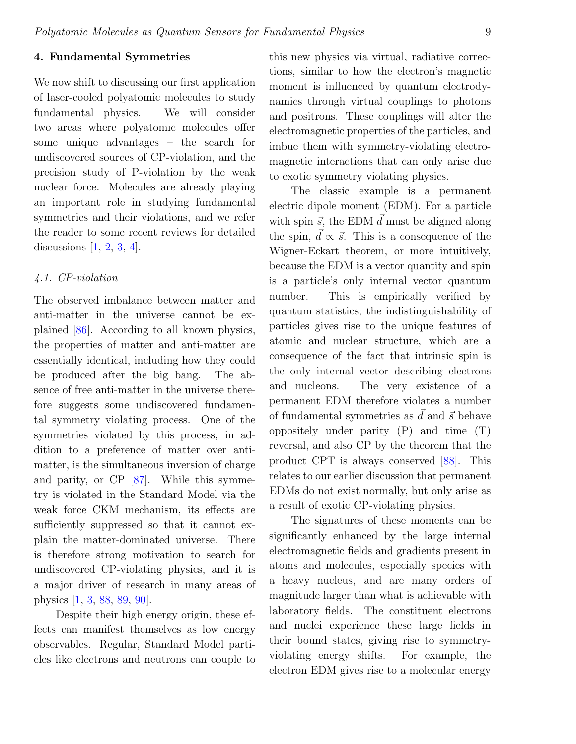# 4. Fundamental Symmetries

We now shift to discussing our first application of laser-cooled polyatomic molecules to study fundamental physics. We will consider two areas where polyatomic molecules offer some unique advantages – the search for undiscovered sources of CP-violation, and the precision study of P-violation by the weak nuclear force. Molecules are already playing an important role in studying fundamental symmetries and their violations, and we refer the reader to some recent reviews for detailed discussions  $[1, 2, 3, 4]$  $[1, 2, 3, 4]$  $[1, 2, 3, 4]$  $[1, 2, 3, 4]$  $[1, 2, 3, 4]$  $[1, 2, 3, 4]$  $[1, 2, 3, 4]$ .

# 4.1. CP-violation

The observed imbalance between matter and anti-matter in the universe cannot be explained [\[86\]](#page-22-19). According to all known physics, the properties of matter and anti-matter are essentially identical, including how they could be produced after the big bang. The absence of free anti-matter in the universe therefore suggests some undiscovered fundamental symmetry violating process. One of the symmetries violated by this process, in addition to a preference of matter over antimatter, is the simultaneous inversion of charge and parity, or CP [\[87\]](#page-22-20). While this symmetry is violated in the Standard Model via the weak force CKM mechanism, its effects are sufficiently suppressed so that it cannot explain the matter-dominated universe. There is therefore strong motivation to search for undiscovered CP-violating physics, and it is a major driver of research in many areas of physics [\[1,](#page-19-0) [3,](#page-19-2) [88,](#page-22-21) [89,](#page-22-22) [90\]](#page-22-23).

Despite their high energy origin, these effects can manifest themselves as low energy observables. Regular, Standard Model particles like electrons and neutrons can couple to this new physics via virtual, radiative corrections, similar to how the electron's magnetic moment is influenced by quantum electrodynamics through virtual couplings to photons and positrons. These couplings will alter the electromagnetic properties of the particles, and imbue them with symmetry-violating electromagnetic interactions that can only arise due to exotic symmetry violating physics.

The classic example is a permanent electric dipole moment (EDM). For a particle with spin  $\vec{s}$ , the EDM  $\vec{d}$  must be aligned along the spin,  $\vec{d} \propto \vec{s}$ . This is a consequence of the Wigner-Eckart theorem, or more intuitively, because the EDM is a vector quantity and spin is a particle's only internal vector quantum number. This is empirically verified by quantum statistics; the indistinguishability of particles gives rise to the unique features of atomic and nuclear structure, which are a consequence of the fact that intrinsic spin is the only internal vector describing electrons and nucleons. The very existence of a permanent EDM therefore violates a number of fundamental symmetries as  $\vec{d}$  and  $\vec{s}$  behave oppositely under parity (P) and time (T) reversal, and also CP by the theorem that the product CPT is always conserved [\[88\]](#page-22-21). This relates to our earlier discussion that permanent EDMs do not exist normally, but only arise as a result of exotic CP-violating physics.

The signatures of these moments can be significantly enhanced by the large internal electromagnetic fields and gradients present in atoms and molecules, especially species with a heavy nucleus, and are many orders of magnitude larger than what is achievable with laboratory fields. The constituent electrons and nuclei experience these large fields in their bound states, giving rise to symmetryviolating energy shifts. For example, the electron EDM gives rise to a molecular energy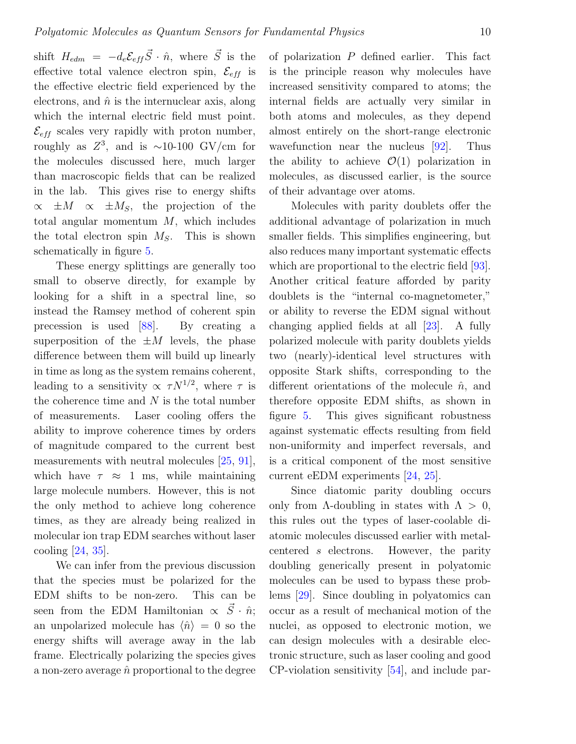shift  $H_{edm} = -d_e \mathcal{E}_{eff} \vec{S} \cdot \hat{n}$ , where  $\vec{S}$  is the effective total valence electron spin,  $\mathcal{E}_{eff}$  is the effective electric field experienced by the electrons, and  $\hat{n}$  is the internuclear axis, along which the internal electric field must point.  $\mathcal{E}_{eff}$  scales very rapidly with proton number, roughly as  $Z^3$ , and is ~10-100 GV/cm for the molecules discussed here, much larger than macroscopic fields that can be realized in the lab. This gives rise to energy shifts  $\propto \pm M \propto \pm M_s$ , the projection of the total angular momentum  $M$ , which includes the total electron spin  $M_S$ . This is shown schematically in figure [5.](#page-10-0)

These energy splittings are generally too small to observe directly, for example by looking for a shift in a spectral line, so instead the Ramsey method of coherent spin precession is used [\[88\]](#page-22-21). By creating a superposition of the  $\pm M$  levels, the phase difference between them will build up linearly in time as long as the system remains coherent, leading to a sensitivity  $\propto \tau N^{1/2}$ , where  $\tau$  is the coherence time and  $N$  is the total number of measurements. Laser cooling offers the ability to improve coherence times by orders of magnitude compared to the current best measurements with neutral molecules [\[25,](#page-20-4) [91\]](#page-22-24), which have  $\tau \approx 1$  ms, while maintaining large molecule numbers. However, this is not the only method to achieve long coherence times, as they are already being realized in molecular ion trap EDM searches without laser cooling [\[24,](#page-20-3) [35\]](#page-20-14).

We can infer from the previous discussion that the species must be polarized for the EDM shifts to be non-zero. This can be seen from the EDM Hamiltonian  $\propto \vec{S} \cdot \hat{n}$ ; an unpolarized molecule has  $\langle \hat{n} \rangle = 0$  so the energy shifts will average away in the lab frame. Electrically polarizing the species gives a non-zero average  $\hat{n}$  proportional to the degree

of polarization  $P$  defined earlier. This fact is the principle reason why molecules have increased sensitivity compared to atoms; the internal fields are actually very similar in both atoms and molecules, as they depend almost entirely on the short-range electronic wavefunction near the nucleus [\[92\]](#page-23-0). Thus the ability to achieve  $\mathcal{O}(1)$  polarization in molecules, as discussed earlier, is the source of their advantage over atoms.

Molecules with parity doublets offer the additional advantage of polarization in much smaller fields. This simplifies engineering, but also reduces many important systematic effects which are proportional to the electric field [\[93\]](#page-23-1). Another critical feature afforded by parity doublets is the "internal co-magnetometer," or ability to reverse the EDM signal without changing applied fields at all [\[23\]](#page-20-2). A fully polarized molecule with parity doublets yields two (nearly)-identical level structures with opposite Stark shifts, corresponding to the different orientations of the molecule  $\hat{n}$ , and therefore opposite EDM shifts, as shown in figure [5.](#page-10-0) This gives significant robustness against systematic effects resulting from field non-uniformity and imperfect reversals, and is a critical component of the most sensitive current eEDM experiments [\[24,](#page-20-3) [25\]](#page-20-4).

Since diatomic parity doubling occurs only from  $\Lambda$ -doubling in states with  $\Lambda > 0$ , this rules out the types of laser-coolable diatomic molecules discussed earlier with metalcentered s electrons. However, the parity doubling generically present in polyatomic molecules can be used to bypass these problems [\[29\]](#page-20-8). Since doubling in polyatomics can occur as a result of mechanical motion of the nuclei, as opposed to electronic motion, we can design molecules with a desirable electronic structure, such as laser cooling and good CP-violation sensitivity [\[54\]](#page-21-11), and include par-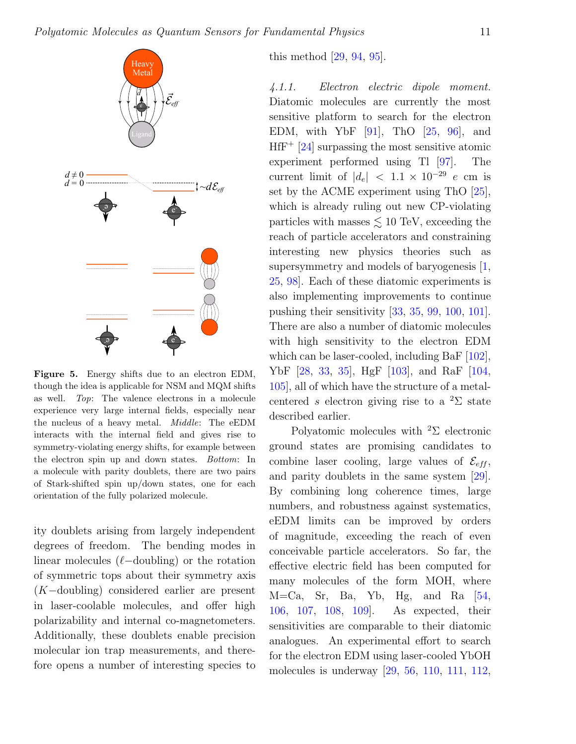

<span id="page-10-0"></span>Figure 5. Energy shifts due to an electron EDM, though the idea is applicable for NSM and MQM shifts as well. Top: The valence electrons in a molecule experience very large internal fields, especially near the nucleus of a heavy metal. Middle: The eEDM interacts with the internal field and gives rise to symmetry-violating energy shifts, for example between the electron spin up and down states. Bottom: In a molecule with parity doublets, there are two pairs of Stark-shifted spin up/down states, one for each orientation of the fully polarized molecule.

ity doublets arising from largely independent degrees of freedom. The bending modes in linear molecules  $(\ell$ -doubling) or the rotation of symmetric tops about their symmetry axis (K−doubling) considered earlier are present in laser-coolable molecules, and offer high polarizability and internal co-magnetometers. Additionally, these doublets enable precision molecular ion trap measurements, and therefore opens a number of interesting species to

this method [\[29,](#page-20-8) [94,](#page-23-2) [95\]](#page-23-3).

4.1.1. Electron electric dipole moment. Diatomic molecules are currently the most sensitive platform to search for the electron EDM, with YbF  $[91]$ , ThO  $[25, 96]$  $[25, 96]$  $[25, 96]$ , and  $H f F^+$  [\[24\]](#page-20-3) surpassing the most sensitive atomic experiment performed using Tl [\[97\]](#page-23-5). The current limit of  $|d_e| < 1.1 \times 10^{-29}$  e cm is set by the ACME experiment using ThO [\[25\]](#page-20-4), which is already ruling out new CP-violating particles with masses  $\lesssim 10$  TeV, exceeding the reach of particle accelerators and constraining interesting new physics theories such as supersymmetry and models of baryogenesis [\[1,](#page-19-0) [25,](#page-20-4) [98\]](#page-23-6). Each of these diatomic experiments is also implementing improvements to continue pushing their sensitivity [\[33,](#page-20-12) [35,](#page-20-14) [99,](#page-23-7) [100,](#page-23-8) [101\]](#page-23-9). There are also a number of diatomic molecules with high sensitivity to the electron EDM which can be laser-cooled, including BaF [\[102\]](#page-23-10), YbF [\[28,](#page-20-7) [33,](#page-20-12) [35\]](#page-20-14), HgF [\[103\]](#page-23-11), and RaF [\[104,](#page-23-12) [105\]](#page-23-13), all of which have the structure of a metalcentered s electron giving rise to a  ${}^{2}\Sigma$  state described earlier.

Polyatomic molecules with <sup>2</sup>Σ electronic ground states are promising candidates to combine laser cooling, large values of  $\mathcal{E}_{eff}$ , and parity doublets in the same system [\[29\]](#page-20-8). By combining long coherence times, large numbers, and robustness against systematics, eEDM limits can be improved by orders of magnitude, exceeding the reach of even conceivable particle accelerators. So far, the effective electric field has been computed for many molecules of the form MOH, where  $M=Ca$ , Sr, Ba, Yb, Hg, and Ra  $[54,$ [106,](#page-23-14) [107,](#page-23-15) [108,](#page-23-16) [109\]](#page-23-17). As expected, their sensitivities are comparable to their diatomic analogues. An experimental effort to search for the electron EDM using laser-cooled YbOH molecules is underway [\[29,](#page-20-8) [56,](#page-21-19) [110,](#page-24-0) [111,](#page-24-1) [112,](#page-24-2)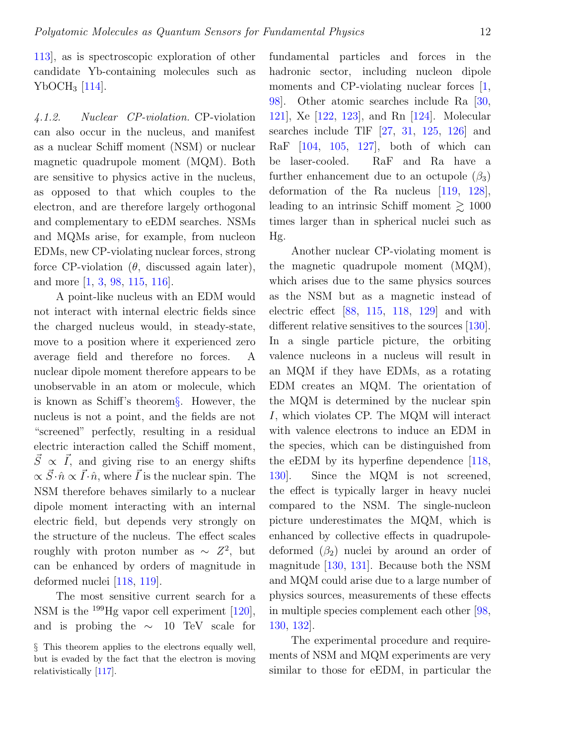[113\]](#page-24-3), as is spectroscopic exploration of other candidate Yb-containing molecules such as YbOCH<sup>3</sup> [\[114\]](#page-24-4).

4.1.2. Nuclear CP-violation. CP-violation can also occur in the nucleus, and manifest as a nuclear Schiff moment (NSM) or nuclear magnetic quadrupole moment (MQM). Both are sensitive to physics active in the nucleus, as opposed to that which couples to the electron, and are therefore largely orthogonal and complementary to eEDM searches. NSMs and MQMs arise, for example, from nucleon EDMs, new CP-violating nuclear forces, strong force CP-violation  $(\theta)$ , discussed again later), and more [\[1,](#page-19-0) [3,](#page-19-2) [98,](#page-23-6) [115,](#page-24-5) [116\]](#page-24-6).

A point-like nucleus with an EDM would not interact with internal electric fields since the charged nucleus would, in steady-state, move to a position where it experienced zero average field and therefore no forces. A nuclear dipole moment therefore appears to be unobservable in an atom or molecule, which is known as Schiff's theorem[§](#page-11-0). However, the nucleus is not a point, and the fields are not "screened" perfectly, resulting in a residual electric interaction called the Schiff moment,  $\vec{S} \propto \vec{I}$ , and giving rise to an energy shifts  $\propto \vec{S} \cdot \hat{n} \propto \vec{I} \cdot \hat{n}$ , where  $\vec{I}$  is the nuclear spin. The NSM therefore behaves similarly to a nuclear dipole moment interacting with an internal electric field, but depends very strongly on the structure of the nucleus. The effect scales roughly with proton number as  $\sim Z^2$ , but can be enhanced by orders of magnitude in deformed nuclei [\[118,](#page-24-7) [119\]](#page-24-8).

The most sensitive current search for a NSM is the <sup>199</sup>Hg vapor cell experiment [\[120\]](#page-24-9), and is probing the  $~\sim~10~\text{TeV}$  scale for fundamental particles and forces in the hadronic sector, including nucleon dipole moments and CP-violating nuclear forces [\[1,](#page-19-0) [98\]](#page-23-6). Other atomic searches include Ra [\[30,](#page-20-9) [121\]](#page-24-11), Xe [\[122,](#page-24-12) [123\]](#page-24-13), and Rn [\[124\]](#page-24-14). Molecular searches include TlF  $[27, 31, 125, 126]$  $[27, 31, 125, 126]$  $[27, 31, 125, 126]$  $[27, 31, 125, 126]$  $[27, 31, 125, 126]$  $[27, 31, 125, 126]$  $[27, 31, 125, 126]$  and RaF [\[104,](#page-23-12) [105,](#page-23-13) [127\]](#page-24-17), both of which can be laser-cooled. RaF and Ra have a further enhancement due to an octupole  $(\beta_3)$ deformation of the Ra nucleus [\[119,](#page-24-8) [128\]](#page-25-0), leading to an intrinsic Schiff moment  $\gtrsim 1000$ times larger than in spherical nuclei such as Hg.

Another nuclear CP-violating moment is the magnetic quadrupole moment (MQM), which arises due to the same physics sources as the NSM but as a magnetic instead of electric effect [\[88,](#page-22-21) [115,](#page-24-5) [118,](#page-24-7) [129\]](#page-25-1) and with different relative sensitives to the sources [\[130\]](#page-25-2). In a single particle picture, the orbiting valence nucleons in a nucleus will result in an MQM if they have EDMs, as a rotating EDM creates an MQM. The orientation of the MQM is determined by the nuclear spin I, which violates CP. The MQM will interact with valence electrons to induce an EDM in the species, which can be distinguished from the eEDM by its hyperfine dependence [\[118,](#page-24-7) [130\]](#page-25-2). Since the MQM is not screened, the effect is typically larger in heavy nuclei compared to the NSM. The single-nucleon picture underestimates the MQM, which is enhanced by collective effects in quadrupoledeformed  $(\beta_2)$  nuclei by around an order of magnitude [\[130,](#page-25-2) [131\]](#page-25-3). Because both the NSM and MQM could arise due to a large number of physics sources, measurements of these effects in multiple species complement each other [\[98,](#page-23-6) [130,](#page-25-2) [132\]](#page-25-4).

The experimental procedure and requirements of NSM and MQM experiments are very similar to those for eEDM, in particular the

<span id="page-11-0"></span><sup>§</sup> This theorem applies to the electrons equally well, but is evaded by the fact that the electron is moving relativistically [\[117\]](#page-24-10).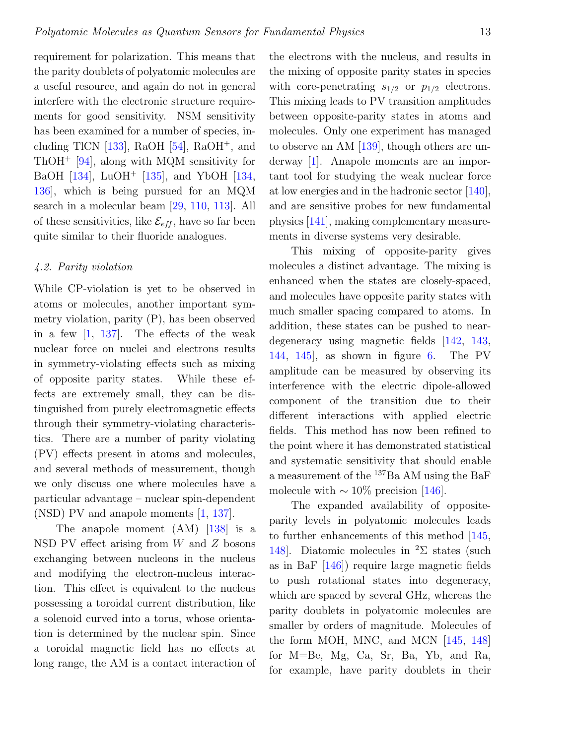requirement for polarization. This means that the parity doublets of polyatomic molecules are a useful resource, and again do not in general interfere with the electronic structure requirements for good sensitivity. NSM sensitivity has been examined for a number of species, including TlCN  $[133]$ , RaOH  $[54]$ , RaOH<sup>+</sup>, and ThOH<sup>+</sup> [\[94\]](#page-23-2), along with MQM sensitivity for BaOH [\[134\]](#page-25-6), LuOH<sup>+</sup> [\[135\]](#page-25-7), and YbOH [\[134,](#page-25-6) [136\]](#page-25-8), which is being pursued for an MQM search in a molecular beam [\[29,](#page-20-8) [110,](#page-24-0) [113\]](#page-24-3). All of these sensitivities, like  $\mathcal{E}_{eff}$ , have so far been quite similar to their fluoride analogues.

## 4.2. Parity violation

While CP-violation is yet to be observed in atoms or molecules, another important symmetry violation, parity (P), has been observed in a few  $\left[1, 137\right]$  $\left[1, 137\right]$  $\left[1, 137\right]$ . The effects of the weak nuclear force on nuclei and electrons results in symmetry-violating effects such as mixing of opposite parity states. While these effects are extremely small, they can be distinguished from purely electromagnetic effects through their symmetry-violating characteristics. There are a number of parity violating (PV) effects present in atoms and molecules, and several methods of measurement, though we only discuss one where molecules have a particular advantage – nuclear spin-dependent (NSD) PV and anapole moments [\[1,](#page-19-0) [137\]](#page-25-9).

The anapole moment (AM) [\[138\]](#page-25-10) is a NSD PV effect arising from  $W$  and  $Z$  bosons exchanging between nucleons in the nucleus and modifying the electron-nucleus interaction. This effect is equivalent to the nucleus possessing a toroidal current distribution, like a solenoid curved into a torus, whose orientation is determined by the nuclear spin. Since a toroidal magnetic field has no effects at long range, the AM is a contact interaction of the electrons with the nucleus, and results in the mixing of opposite parity states in species with core-penetrating  $s_{1/2}$  or  $p_{1/2}$  electrons. This mixing leads to PV transition amplitudes between opposite-parity states in atoms and molecules. Only one experiment has managed to observe an AM [\[139\]](#page-25-11), though others are underway [\[1\]](#page-19-0). Anapole moments are an important tool for studying the weak nuclear force at low energies and in the hadronic sector [\[140\]](#page-25-12), and are sensitive probes for new fundamental physics [\[141\]](#page-25-13), making complementary measurements in diverse systems very desirable.

This mixing of opposite-parity gives molecules a distinct advantage. The mixing is enhanced when the states are closely-spaced, and molecules have opposite parity states with much smaller spacing compared to atoms. In addition, these states can be pushed to neardegeneracy using magnetic fields [\[142,](#page-25-14) [143,](#page-25-15) [144,](#page-25-16) [145\]](#page-25-17), as shown in figure [6.](#page-13-0) The PV amplitude can be measured by observing its interference with the electric dipole-allowed component of the transition due to their different interactions with applied electric fields. This method has now been refined to the point where it has demonstrated statistical and systematic sensitivity that should enable a measurement of the <sup>137</sup>Ba AM using the BaF molecule with  $\sim 10\%$  precision [\[146\]](#page-25-18).

The expanded availability of oppositeparity levels in polyatomic molecules leads to further enhancements of this method [\[145,](#page-25-17) [148\]](#page-25-19). Diatomic molecules in <sup>2</sup> $\Sigma$  states (such as in BaF [\[146\]](#page-25-18)) require large magnetic fields to push rotational states into degeneracy, which are spaced by several GHz, whereas the parity doublets in polyatomic molecules are smaller by orders of magnitude. Molecules of the form MOH, MNC, and MCN [\[145,](#page-25-17) [148\]](#page-25-19) for M=Be, Mg, Ca, Sr, Ba, Yb, and Ra, for example, have parity doublets in their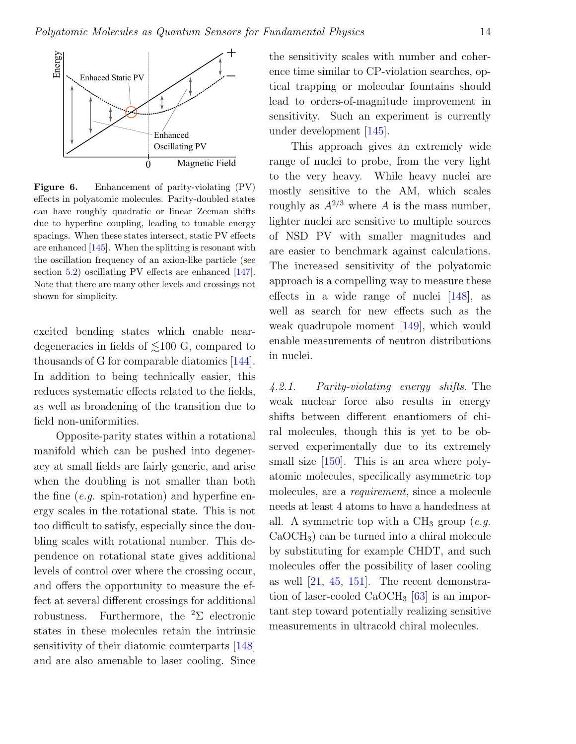

<span id="page-13-0"></span>Figure 6. Enhancement of parity-violating (PV) effects in polyatomic molecules. Parity-doubled states can have roughly quadratic or linear Zeeman shifts due to hyperfine coupling, leading to tunable energy spacings. When these states intersect, static PV effects are enhanced [\[145\]](#page-25-17). When the splitting is resonant with the oscillation frequency of an axion-like particle (see section [5.2\)](#page-16-0) oscillating PV effects are enhanced [\[147\]](#page-25-20). Note that there are many other levels and crossings not shown for simplicity.

excited bending states which enable neardegeneracies in fields of  $\leq 100$  G, compared to thousands of G for comparable diatomics [\[144\]](#page-25-16). In addition to being technically easier, this reduces systematic effects related to the fields, as well as broadening of the transition due to field non-uniformities.

Opposite-parity states within a rotational manifold which can be pushed into degeneracy at small fields are fairly generic, and arise when the doubling is not smaller than both the fine  $(e.g.$  spin-rotation) and hyperfine energy scales in the rotational state. This is not too difficult to satisfy, especially since the doubling scales with rotational number. This dependence on rotational state gives additional levels of control over where the crossing occur, and offers the opportunity to measure the effect at several different crossings for additional robustness. Furthermore, the  ${}^{2}\Sigma$  electronic states in these molecules retain the intrinsic sensitivity of their diatomic counterparts [\[148\]](#page-25-19) and are also amenable to laser cooling. Since

the sensitivity scales with number and coherence time similar to CP-violation searches, optical trapping or molecular fountains should lead to orders-of-magnitude improvement in sensitivity. Such an experiment is currently under development [\[145\]](#page-25-17).

This approach gives an extremely wide range of nuclei to probe, from the very light to the very heavy. While heavy nuclei are mostly sensitive to the AM, which scales roughly as  $A^{2/3}$  where A is the mass number, lighter nuclei are sensitive to multiple sources of NSD PV with smaller magnitudes and are easier to benchmark against calculations. The increased sensitivity of the polyatomic approach is a compelling way to measure these effects in a wide range of nuclei [\[148\]](#page-25-19), as well as search for new effects such as the weak quadrupole moment [\[149\]](#page-26-0), which would enable measurements of neutron distributions in nuclei.

4.2.1. Parity-violating energy shifts. The weak nuclear force also results in energy shifts between different enantiomers of chiral molecules, though this is yet to be observed experimentally due to its extremely small size [\[150\]](#page-26-1). This is an area where polyatomic molecules, specifically asymmetric top molecules, are a requirement, since a molecule needs at least 4 atoms to have a handedness at all. A symmetric top with a  $CH_3$  group (e.g. CaOCH3) can be turned into a chiral molecule by substituting for example CHDT, and such molecules offer the possibility of laser cooling as well  $[21, 45, 151]$  $[21, 45, 151]$  $[21, 45, 151]$  $[21, 45, 151]$  $[21, 45, 151]$ . The recent demonstration of laser-cooled  $CaOCH<sub>3</sub>$  [\[63\]](#page-21-17) is an important step toward potentially realizing sensitive measurements in ultracold chiral molecules.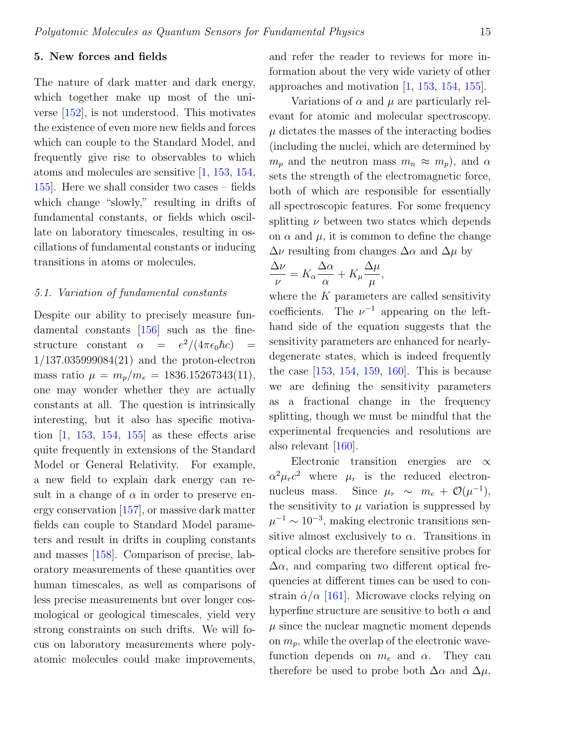## 5. New forces and fields

The nature of dark matter and dark energy, which together make up most of the universe [\[152\]](#page-26-3), is not understood. This motivates the existence of even more new fields and forces which can couple to the Standard Model, and frequently give rise to observables to which atoms and molecules are sensitive [\[1,](#page-19-0) [153,](#page-26-4) [154,](#page-26-5) [155\]](#page-26-6). Here we shall consider two cases – fields which change "slowly," resulting in drifts of fundamental constants, or fields which oscillate on laboratory timescales, resulting in oscillations of fundamental constants or inducing transitions in atoms or molecules.

### 5.1. Variation of fundamental constants

Despite our ability to precisely measure fundamental constants [\[156\]](#page-26-7) such as the finestructure constant  $\alpha = e^2/(4\pi\epsilon_0\hbar c) =$ 1/137.035999084(21) and the proton-electron mass ratio  $\mu = m_p/m_e = 1836.15267343(11),$ one may wonder whether they are actually constants at all. The question is intrinsically interesting, but it also has specific motivation  $\begin{bmatrix} 1 \\ 1.153 \\ 154 \\ 155 \end{bmatrix}$  as these effects arise quite frequently in extensions of the Standard Model or General Relativity. For example, a new field to explain dark energy can result in a change of  $\alpha$  in order to preserve energy conservation [\[157\]](#page-26-8), or massive dark matter fields can couple to Standard Model parameters and result in drifts in coupling constants and masses [\[158\]](#page-26-9). Comparison of precise, laboratory measurements of these quantities over human timescales, as well as comparisons of less precise measurements but over longer cosmological or geological timescales, yield very strong constraints on such drifts. We will focus on laboratory measurements where polyatomic molecules could make improvements,

and refer the reader to reviews for more information about the very wide variety of other approaches and motivation [\[1,](#page-19-0) [153,](#page-26-4) [154,](#page-26-5) [155\]](#page-26-6).

Variations of  $\alpha$  and  $\mu$  are particularly relevant for atomic and molecular spectroscopy.  $\mu$  dictates the masses of the interacting bodies (including the nuclei, which are determined by  $m_p$  and the neutron mass  $m_n \approx m_p$ , and  $\alpha$ sets the strength of the electromagnetic force, both of which are responsible for essentially all spectroscopic features. For some frequency splitting  $\nu$  between two states which depends on  $\alpha$  and  $\mu$ , it is common to define the change  $\Delta \nu$  resulting from changes  $\Delta \alpha$  and  $\Delta \mu$  by

$$
\frac{\Delta \nu}{\nu} = K_{\alpha} \frac{\Delta \alpha}{\alpha} + K_{\mu} \frac{\Delta \mu}{\mu},
$$

where the  $K$  parameters are called sensitivity coefficients. The  $\nu^{-1}$  appearing on the lefthand side of the equation suggests that the sensitivity parameters are enhanced for nearlydegenerate states, which is indeed frequently the case [\[153,](#page-26-4) [154,](#page-26-5) [159,](#page-26-10) [160\]](#page-26-11). This is because we are defining the sensitivity parameters as a fractional change in the frequency splitting, though we must be mindful that the experimental frequencies and resolutions are also relevant [\[160\]](#page-26-11).

Electronic transition energies are  $\propto$  $\alpha^2 \mu_r c^2$  where  $\mu_r$  is the reduced electronnucleus mass. Since  $\mu_r \sim m_e + \mathcal{O}(\mu^{-1}),$ the sensitivity to  $\mu$  variation is suppressed by  $\mu^{-1} \sim 10^{-3}$ , making electronic transitions sensitive almost exclusively to  $\alpha$ . Transitions in optical clocks are therefore sensitive probes for  $\Delta \alpha$ , and comparing two different optical frequencies at different times can be used to constrain  $\dot{\alpha}/\alpha$  [\[161\]](#page-26-12). Microwave clocks relying on hyperfine structure are sensitive to both  $\alpha$  and  $\mu$  since the nuclear magnetic moment depends on  $m_p$ , while the overlap of the electronic wavefunction depends on  $m_e$  and  $\alpha$ . They can therefore be used to probe both  $\Delta \alpha$  and  $\Delta \mu$ ,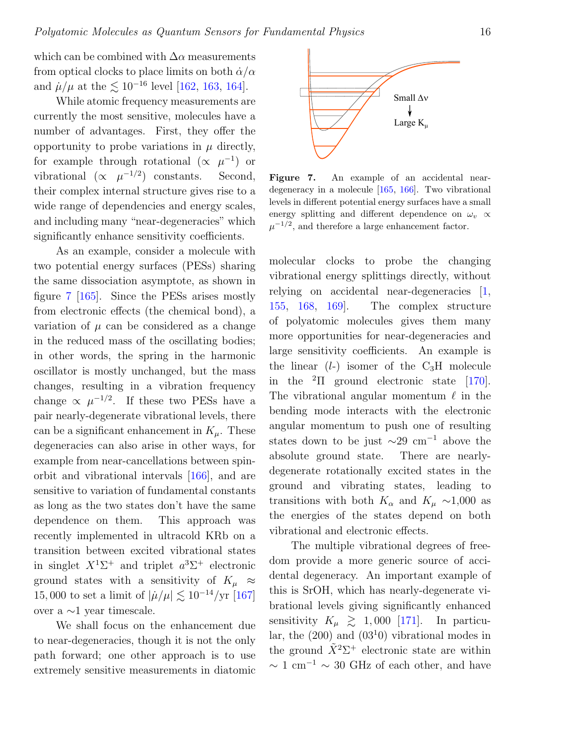which can be combined with  $\Delta \alpha$  measurements from optical clocks to place limits on both  $\dot{\alpha}/\alpha$ and  $\mu/\mu$  at the  $\lesssim 10^{-16}$  level [\[162,](#page-26-13) [163,](#page-26-14) [164\]](#page-26-15).

While atomic frequency measurements are currently the most sensitive, molecules have a number of advantages. First, they offer the opportunity to probe variations in  $\mu$  directly, for example through rotational  $(\propto \mu^{-1})$  or vibrational  $(\propto \mu^{-1/2})$  constants. Second, their complex internal structure gives rise to a wide range of dependencies and energy scales, and including many "near-degeneracies" which significantly enhance sensitivity coefficients.

As an example, consider a molecule with two potential energy surfaces (PESs) sharing the same dissociation asymptote, as shown in figure [7](#page-15-0) [\[165\]](#page-26-16). Since the PESs arises mostly from electronic effects (the chemical bond), a variation of  $\mu$  can be considered as a change in the reduced mass of the oscillating bodies; in other words, the spring in the harmonic oscillator is mostly unchanged, but the mass changes, resulting in a vibration frequency change  $\propto \mu^{-1/2}$ . If these two PESs have a pair nearly-degenerate vibrational levels, there can be a significant enhancement in  $K_{\mu}$ . These degeneracies can also arise in other ways, for example from near-cancellations between spinorbit and vibrational intervals [\[166\]](#page-26-17), and are sensitive to variation of fundamental constants as long as the two states don't have the same dependence on them. This approach was recently implemented in ultracold KRb on a transition between excited vibrational states in singlet  $X^1\Sigma^+$  and triplet  $a^3\Sigma^+$  electronic ground states with a sensitivity of  $K_\mu \approx$ 15,000 to set a limit of  $|\mu/\mu| \lesssim 10^{-14}/yr$  [\[167\]](#page-26-18) over a ∼1 year timescale.

We shall focus on the enhancement due to near-degeneracies, though it is not the only path forward; one other approach is to use extremely sensitive measurements in diatomic



<span id="page-15-0"></span>Figure 7. An example of an accidental neardegeneracy in a molecule [\[165,](#page-26-16) [166\]](#page-26-17). Two vibrational levels in different potential energy surfaces have a small energy splitting and different dependence on  $\omega$ <sub>n</sub>  $\propto$  $\mu^{-1/2}$ , and therefore a large enhancement factor.

molecular clocks to probe the changing vibrational energy splittings directly, without relying on accidental near-degeneracies [\[1,](#page-19-0) [155,](#page-26-6) [168,](#page-26-19) [169\]](#page-26-20). The complex structure of polyatomic molecules gives them many more opportunities for near-degeneracies and large sensitivity coefficients. An example is the linear  $(l-)$  isomer of the  $C_3H$  molecule in the  ${}^{2}$ Π ground electronic state [\[170\]](#page-26-21). The vibrational angular momentum  $\ell$  in the bending mode interacts with the electronic angular momentum to push one of resulting states down to be just  $\sim$ 29 cm<sup>-1</sup> above the absolute ground state. There are nearlydegenerate rotationally excited states in the ground and vibrating states, leading to transitions with both  $K_{\alpha}$  and  $K_{\mu} \sim 1,000$  as the energies of the states depend on both vibrational and electronic effects.

The multiple vibrational degrees of freedom provide a more generic source of accidental degeneracy. An important example of this is SrOH, which has nearly-degenerate vibrational levels giving significantly enhanced sensitivity  $K_{\mu} \geq 1,000$  [\[171\]](#page-26-22). In particular, the  $(200)$  and  $(03<sup>1</sup>0)$  vibrational modes in the ground  $\tilde{X}^2\Sigma^+$  electronic state are within  $\sim$  1 cm<sup>-1</sup>  $\sim$  30 GHz of each other, and have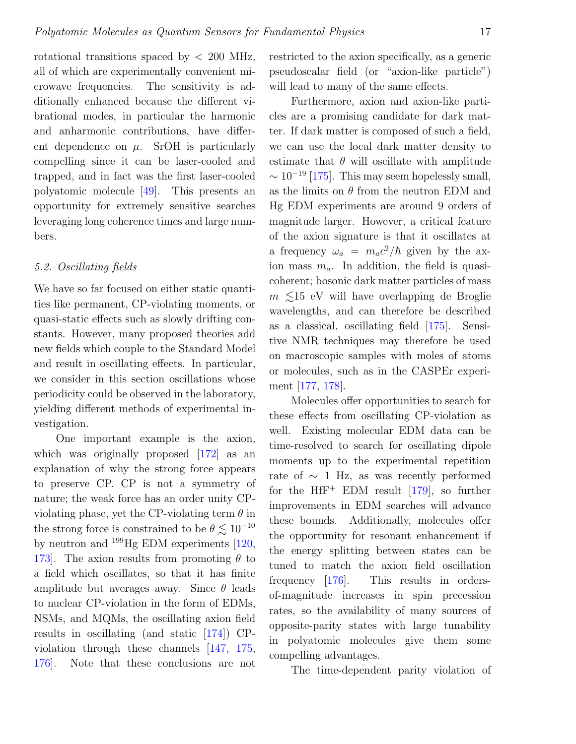rotational transitions spaced by < 200 MHz, all of which are experimentally convenient microwave frequencies. The sensitivity is additionally enhanced because the different vibrational modes, in particular the harmonic and anharmonic contributions, have different dependence on  $\mu$ . SrOH is particularly compelling since it can be laser-cooled and trapped, and in fact was the first laser-cooled polyatomic molecule [\[49\]](#page-21-6). This presents an opportunity for extremely sensitive searches leveraging long coherence times and large numbers.

#### <span id="page-16-0"></span>5.2. Oscillating fields

We have so far focused on either static quantities like permanent, CP-violating moments, or quasi-static effects such as slowly drifting constants. However, many proposed theories add new fields which couple to the Standard Model and result in oscillating effects. In particular, we consider in this section oscillations whose periodicity could be observed in the laboratory, yielding different methods of experimental investigation.

One important example is the axion, which was originally proposed [\[172\]](#page-27-0) as an explanation of why the strong force appears to preserve CP. CP is not a symmetry of nature; the weak force has an order unity CPviolating phase, yet the CP-violating term  $\theta$  in the strong force is constrained to be  $\theta \lesssim 10^{-10}$ by neutron and <sup>199</sup>Hg EDM experiments [\[120,](#page-24-9) 173. The axion results from promoting  $\theta$  to a field which oscillates, so that it has finite amplitude but averages away. Since  $\theta$  leads to nuclear CP-violation in the form of EDMs, NSMs, and MQMs, the oscillating axion field results in oscillating (and static [\[174\]](#page-27-2)) CPviolation through these channels [\[147,](#page-25-20) [175,](#page-27-3) [176\]](#page-27-4). Note that these conclusions are not

restricted to the axion specifically, as a generic pseudoscalar field (or "axion-like particle") will lead to many of the same effects.

Furthermore, axion and axion-like particles are a promising candidate for dark matter. If dark matter is composed of such a field, we can use the local dark matter density to estimate that  $\theta$  will oscillate with amplitude  $\sim 10^{-19}$  [\[175\]](#page-27-3). This may seem hopelessly small, as the limits on  $\theta$  from the neutron EDM and Hg EDM experiments are around 9 orders of magnitude larger. However, a critical feature of the axion signature is that it oscillates at a frequency  $\omega_a = m_a c^2/\hbar$  given by the axion mass  $m_a$ . In addition, the field is quasicoherent; bosonic dark matter particles of mass  $m \leq 15$  eV will have overlapping de Broglie wavelengths, and can therefore be described as a classical, oscillating field [\[175\]](#page-27-3). Sensitive NMR techniques may therefore be used on macroscopic samples with moles of atoms or molecules, such as in the CASPEr experiment [\[177,](#page-27-5) [178\]](#page-27-6).

Molecules offer opportunities to search for these effects from oscillating CP-violation as well. Existing molecular EDM data can be time-resolved to search for oscillating dipole moments up to the experimental repetition rate of  $\sim$  1 Hz, as was recently performed for the  $HfF^+$  EDM result [\[179\]](#page-27-7), so further improvements in EDM searches will advance these bounds. Additionally, molecules offer the opportunity for resonant enhancement if the energy splitting between states can be tuned to match the axion field oscillation frequency [\[176\]](#page-27-4). This results in ordersof-magnitude increases in spin precession rates, so the availability of many sources of opposite-parity states with large tunability in polyatomic molecules give them some compelling advantages.

The time-dependent parity violation of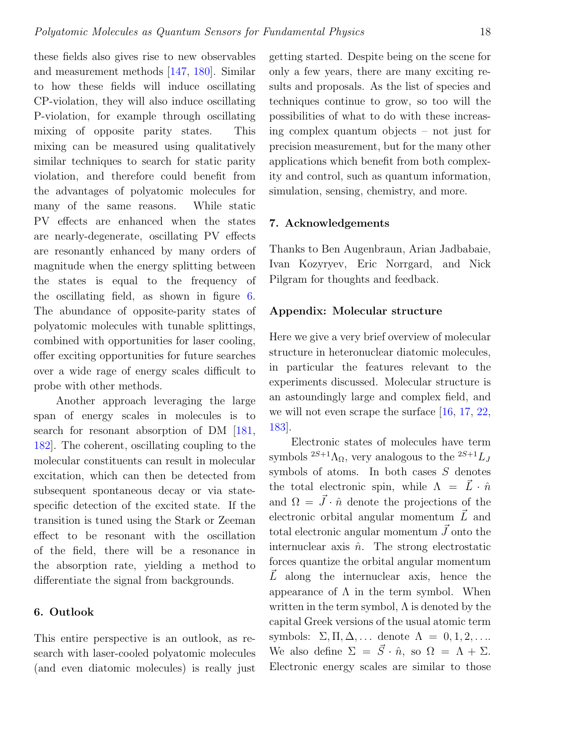these fields also gives rise to new observables and measurement methods [\[147,](#page-25-20) [180\]](#page-27-8). Similar to how these fields will induce oscillating CP-violation, they will also induce oscillating P-violation, for example through oscillating mixing of opposite parity states. This mixing can be measured using qualitatively similar techniques to search for static parity violation, and therefore could benefit from the advantages of polyatomic molecules for many of the same reasons. While static PV effects are enhanced when the states are nearly-degenerate, oscillating PV effects are resonantly enhanced by many orders of magnitude when the energy splitting between the states is equal to the frequency of the oscillating field, as shown in figure [6.](#page-13-0) The abundance of opposite-parity states of polyatomic molecules with tunable splittings, combined with opportunities for laser cooling, offer exciting opportunities for future searches over a wide rage of energy scales difficult to probe with other methods.

Another approach leveraging the large span of energy scales in molecules is to search for resonant absorption of DM  $[181,$ [182\]](#page-27-10). The coherent, oscillating coupling to the molecular constituents can result in molecular excitation, which can then be detected from subsequent spontaneous decay or via statespecific detection of the excited state. If the transition is tuned using the Stark or Zeeman effect to be resonant with the oscillation of the field, there will be a resonance in the absorption rate, yielding a method to differentiate the signal from backgrounds.

## 6. Outlook

This entire perspective is an outlook, as research with laser-cooled polyatomic molecules (and even diatomic molecules) is really just

getting started. Despite being on the scene for only a few years, there are many exciting results and proposals. As the list of species and techniques continue to grow, so too will the possibilities of what to do with these increasing complex quantum objects – not just for precision measurement, but for the many other applications which benefit from both complexity and control, such as quantum information, simulation, sensing, chemistry, and more.

### 7. Acknowledgements

Thanks to Ben Augenbraun, Arian Jadbabaie, Ivan Kozyryev, Eric Norrgard, and Nick Pilgram for thoughts and feedback.

#### Appendix: Molecular structure

Here we give a very brief overview of molecular structure in heteronuclear diatomic molecules, in particular the features relevant to the experiments discussed. Molecular structure is an astoundingly large and complex field, and we will not even scrape the surface [\[16,](#page-19-15) [17,](#page-19-16) [22,](#page-20-1) [183\]](#page-27-11).

Electronic states of molecules have term symbols  ${}^{2S+1}\Lambda_{\Omega}$ , very analogous to the  ${}^{2S+1}L_J$ symbols of atoms. In both cases  $S$  denotes the total electronic spin, while  $\Lambda = \vec{L} \cdot \hat{n}$ and  $\Omega = \vec{J} \cdot \hat{n}$  denote the projections of the electronic orbital angular momentum  $\vec{L}$  and total electronic angular momentum  $\vec{J}$  onto the internuclear axis  $\hat{n}$ . The strong electrostatic forces quantize the orbital angular momentum  $\overline{L}$  along the internuclear axis, hence the appearance of  $\Lambda$  in the term symbol. When written in the term symbol,  $\Lambda$  is denoted by the capital Greek versions of the usual atomic term symbols:  $\Sigma, \Pi, \Delta, \ldots$  denote  $\Lambda = 0, 1, 2, \ldots$ We also define  $\Sigma = \vec{S} \cdot \hat{n}$ , so  $\Omega = \Lambda + \Sigma$ . Electronic energy scales are similar to those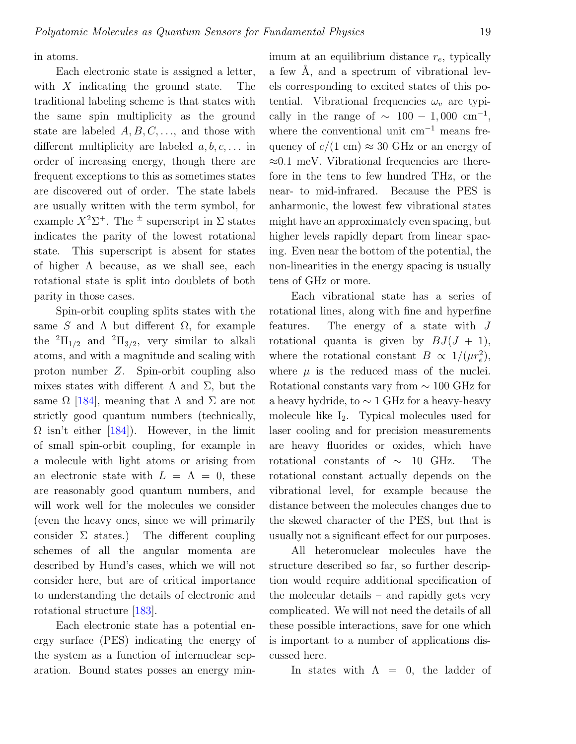in atoms.

Each electronic state is assigned a letter, with  $X$  indicating the ground state. The traditional labeling scheme is that states with the same spin multiplicity as the ground state are labeled  $A, B, C, \ldots$ , and those with different multiplicity are labeled  $a, b, c, \ldots$  in order of increasing energy, though there are frequent exceptions to this as sometimes states are discovered out of order. The state labels are usually written with the term symbol, for example  $X^2\Sigma^+$ . The  $\pm$  superscript in  $\Sigma$  states indicates the parity of the lowest rotational state. This superscript is absent for states of higher  $\Lambda$  because, as we shall see, each rotational state is split into doublets of both parity in those cases.

Spin-orbit coupling splits states with the same S and  $\Lambda$  but different  $\Omega$ , for example the  ${}^{2}\Pi_{1/2}$  and  ${}^{2}\Pi_{3/2}$ , very similar to alkali atoms, and with a magnitude and scaling with proton number Z. Spin-orbit coupling also mixes states with different  $\Lambda$  and  $\Sigma$ , but the same  $\Omega$  [\[184\]](#page-27-12), meaning that  $\Lambda$  and  $\Sigma$  are not strictly good quantum numbers (technically,  $\Omega$  isn't either [\[184\]](#page-27-12)). However, in the limit of small spin-orbit coupling, for example in a molecule with light atoms or arising from an electronic state with  $L = \Lambda = 0$ , these are reasonably good quantum numbers, and will work well for the molecules we consider (even the heavy ones, since we will primarily consider  $\Sigma$  states.) The different coupling schemes of all the angular momenta are described by Hund's cases, which we will not consider here, but are of critical importance to understanding the details of electronic and rotational structure [\[183\]](#page-27-11).

Each electronic state has a potential energy surface (PES) indicating the energy of the system as a function of internuclear separation. Bound states posses an energy minimum at an equilibrium distance  $r_e$ , typically a few  $\AA$ , and a spectrum of vibrational levels corresponding to excited states of this potential. Vibrational frequencies  $\omega_v$  are typically in the range of  $\sim 100 - 1,000$  cm<sup>-1</sup>, where the conventional unit  $cm^{-1}$  means frequency of  $c/(1 \text{ cm}) \approx 30 \text{ GHz or an energy of}$  $\approx 0.1$  meV. Vibrational frequencies are therefore in the tens to few hundred THz, or the near- to mid-infrared. Because the PES is anharmonic, the lowest few vibrational states might have an approximately even spacing, but higher levels rapidly depart from linear spacing. Even near the bottom of the potential, the non-linearities in the energy spacing is usually tens of GHz or more.

Each vibrational state has a series of rotational lines, along with fine and hyperfine features. The energy of a state with J rotational quanta is given by  $BJ(J + 1)$ , where the rotational constant  $B \propto 1/(\mu r_e^2)$ , where  $\mu$  is the reduced mass of the nuclei. Rotational constants vary from ∼ 100 GHz for a heavy hydride, to ∼ 1 GHz for a heavy-heavy molecule like I2. Typical molecules used for laser cooling and for precision measurements are heavy fluorides or oxides, which have rotational constants of ∼ 10 GHz. The rotational constant actually depends on the vibrational level, for example because the distance between the molecules changes due to the skewed character of the PES, but that is usually not a significant effect for our purposes.

All heteronuclear molecules have the structure described so far, so further description would require additional specification of the molecular details – and rapidly gets very complicated. We will not need the details of all these possible interactions, save for one which is important to a number of applications discussed here.

In states with  $\Lambda = 0$ , the ladder of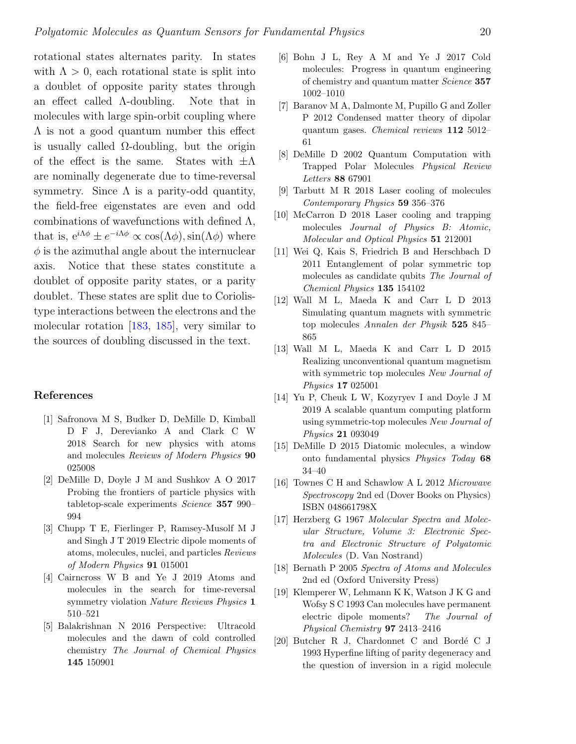rotational states alternates parity. In states with  $\Lambda > 0$ , each rotational state is split into a doublet of opposite parity states through an effect called Λ-doubling. Note that in molecules with large spin-orbit coupling where Λ is not a good quantum number this effect is usually called  $\Omega$ -doubling, but the origin of the effect is the same. States with  $\pm \Lambda$ are nominally degenerate due to time-reversal symmetry. Since  $\Lambda$  is a parity-odd quantity, the field-free eigenstates are even and odd combinations of wavefunctions with defined  $\Lambda$ , that is,  $e^{i\Lambda\phi} \pm e^{-i\Lambda\phi} \propto \cos(\Lambda\phi)$ ,  $\sin(\Lambda\phi)$  where  $\phi$  is the azimuthal angle about the internuclear axis. Notice that these states constitute a doublet of opposite parity states, or a parity doublet. These states are split due to Coriolistype interactions between the electrons and the molecular rotation [\[183,](#page-27-11) [185\]](#page-27-13), very similar to the sources of doubling discussed in the text.

## References

- <span id="page-19-0"></span>[1] Safronova M S, Budker D, DeMille D, Kimball D F J, Derevianko A and Clark C W 2018 Search for new physics with atoms and molecules Reviews of Modern Physics 90 025008
- <span id="page-19-1"></span>[2] DeMille D, Doyle J M and Sushkov A O 2017 Probing the frontiers of particle physics with tabletop-scale experiments Science 357 990-994
- <span id="page-19-2"></span>[3] Chupp T E, Fierlinger P, Ramsey-Musolf M J and Singh J T 2019 Electric dipole moments of atoms, molecules, nuclei, and particles Reviews of Modern Physics 91 015001
- <span id="page-19-3"></span>[4] Cairncross W B and Ye J 2019 Atoms and molecules in the search for time-reversal symmetry violation Nature Reviews Physics 1 510–521
- <span id="page-19-4"></span>[5] Balakrishnan N 2016 Perspective: Ultracold molecules and the dawn of cold controlled chemistry The Journal of Chemical Physics 145 150901
- <span id="page-19-5"></span>[6] Bohn J L, Rey A M and Ye J 2017 Cold molecules: Progress in quantum engineering of chemistry and quantum matter Science 357 1002–1010
- <span id="page-19-6"></span>[7] Baranov M A, Dalmonte M, Pupillo G and Zoller P 2012 Condensed matter theory of dipolar quantum gases. Chemical reviews 112 5012– 61
- <span id="page-19-7"></span>[8] DeMille D 2002 Quantum Computation with Trapped Polar Molecules Physical Review Letters 88 67901
- <span id="page-19-8"></span>[9] Tarbutt M R 2018 Laser cooling of molecules Contemporary Physics 59 356–376
- <span id="page-19-9"></span>[10] McCarron D 2018 Laser cooling and trapping molecules Journal of Physics B: Atomic, Molecular and Optical Physics 51 212001
- <span id="page-19-10"></span>[11] Wei Q, Kais S, Friedrich B and Herschbach D 2011 Entanglement of polar symmetric top molecules as candidate qubits The Journal of Chemical Physics 135 154102
- <span id="page-19-11"></span>[12] Wall M L, Maeda K and Carr L D 2013 Simulating quantum magnets with symmetric top molecules Annalen der Physik 525 845– 865
- <span id="page-19-12"></span>[13] Wall M L, Maeda K and Carr L D 2015 Realizing unconventional quantum magnetism with symmetric top molecules New Journal of Physics 17 025001
- <span id="page-19-13"></span>[14] Yu P, Cheuk L W, Kozyryev I and Doyle J M 2019 A scalable quantum computing platform using symmetric-top molecules New Journal of Physics 21 093049
- <span id="page-19-14"></span>[15] DeMille D 2015 Diatomic molecules, a window onto fundamental physics Physics Today 68 34–40
- <span id="page-19-15"></span>[16] Townes C H and Schawlow A L 2012 Microwave Spectroscopy 2nd ed (Dover Books on Physics) ISBN 048661798X
- <span id="page-19-16"></span>[17] Herzberg G 1967 Molecular Spectra and Molecular Structure, Volume 3: Electronic Spectra and Electronic Structure of Polyatomic Molecules (D. Van Nostrand)
- <span id="page-19-17"></span>[18] Bernath P 2005 Spectra of Atoms and Molecules 2nd ed (Oxford University Press)
- <span id="page-19-18"></span>[19] Klemperer W, Lehmann K K, Watson J K G and Wofsy S C 1993 Can molecules have permanent electric dipole moments? The Journal of Physical Chemistry 97 2413–2416
- <span id="page-19-19"></span>[20] Butcher R J, Chardonnet C and Bordé C J 1993 Hyperfine lifting of parity degeneracy and the question of inversion in a rigid molecule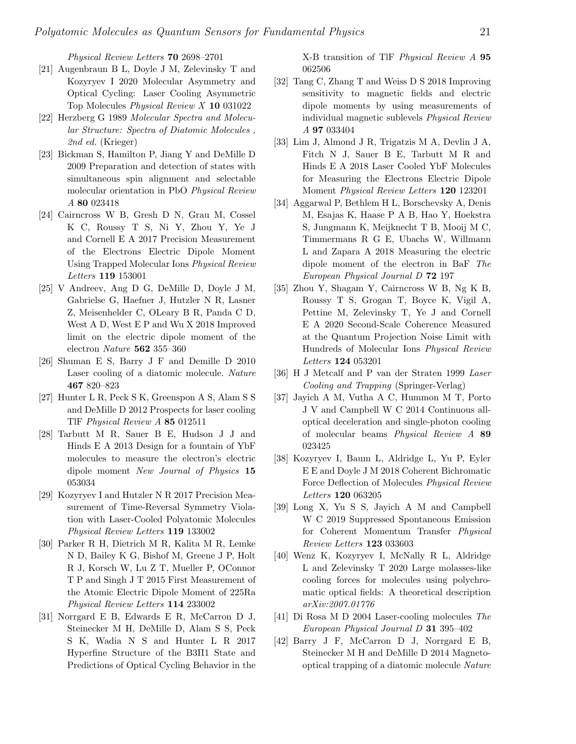Physical Review Letters 70 2698–2701

- <span id="page-20-0"></span>[21] Augenbraun B L, Doyle J M, Zelevinsky T and Kozyryev I 2020 Molecular Asymmetry and Optical Cycling: Laser Cooling Asymmetric Top Molecules Physical Review X 10 031022
- <span id="page-20-1"></span>[22] Herzberg G 1989 Molecular Spectra and Molecular Structure: Spectra of Diatomic Molecules , 2nd ed. (Krieger)
- <span id="page-20-2"></span>[23] Bickman S, Hamilton P, Jiang Y and DeMille D 2009 Preparation and detection of states with simultaneous spin alignment and selectable molecular orientation in PbO Physical Review A 80 023418
- <span id="page-20-3"></span>[24] Cairncross W B, Gresh D N, Grau M, Cossel K C, Roussy T S, Ni Y, Zhou Y, Ye J and Cornell E A 2017 Precision Measurement of the Electrons Electric Dipole Moment Using Trapped Molecular Ions Physical Review Letters 119 153001
- <span id="page-20-4"></span>[25] V Andreev, Ang D G, DeMille D, Doyle J M, Gabrielse G, Haefner J, Hutzler N R, Lasner Z, Meisenhelder C, OLeary B R, Panda C D, West A D, West E P and Wu X 2018 Improved limit on the electric dipole moment of the electron Nature 562 355–360
- <span id="page-20-5"></span>[26] Shuman E S, Barry J F and Demille D 2010 Laser cooling of a diatomic molecule. Nature 467 820–823
- <span id="page-20-6"></span>[27] Hunter L R, Peck S K, Greenspon A S, Alam S S and DeMille D 2012 Prospects for laser cooling TlF Physical Review A 85 012511
- <span id="page-20-7"></span>[28] Tarbutt M R, Sauer B E, Hudson J J and Hinds E A 2013 Design for a fountain of YbF molecules to measure the electron's electric dipole moment New Journal of Physics 15 053034
- <span id="page-20-8"></span>[29] Kozyryev I and Hutzler N R 2017 Precision Measurement of Time-Reversal Symmetry Violation with Laser-Cooled Polyatomic Molecules Physical Review Letters 119 133002
- <span id="page-20-9"></span>[30] Parker R H, Dietrich M R, Kalita M R, Lemke N D, Bailey K G, Bishof M, Greene J P, Holt R J, Korsch W, Lu Z T, Mueller P, OConnor T P and Singh J T 2015 First Measurement of the Atomic Electric Dipole Moment of 225Ra Physical Review Letters 114 233002
- <span id="page-20-10"></span>[31] Norrgard E B, Edwards E R, McCarron D J, Steinecker M H, DeMille D, Alam S S, Peck S K, Wadia N S and Hunter L R 2017 Hyperfine Structure of the B3Π1 State and Predictions of Optical Cycling Behavior in the

X-B transition of TlF Physical Review A 95 062506

- <span id="page-20-11"></span>[32] Tang C, Zhang T and Weiss D S 2018 Improving sensitivity to magnetic fields and electric dipole moments by using measurements of individual magnetic sublevels Physical Review A 97 033404
- <span id="page-20-12"></span>[33] Lim J, Almond J R, Trigatzis M A, Devlin J A, Fitch N J, Sauer B E, Tarbutt M R and Hinds E A 2018 Laser Cooled YbF Molecules for Measuring the Electrons Electric Dipole Moment Physical Review Letters 120 123201
- <span id="page-20-13"></span>[34] Aggarwal P, Bethlem H L, Borschevsky A, Denis M, Esajas K, Haase P A B, Hao Y, Hoekstra S, Jungmann K, Meijknecht T B, Mooij M C, Timmermans R G E, Ubachs W, Willmann L and Zapara A 2018 Measuring the electric dipole moment of the electron in BaF The European Physical Journal D 72 197
- <span id="page-20-14"></span>[35] Zhou Y, Shagam Y, Cairncross W B, Ng K B, Roussy T S, Grogan T, Boyce K, Vigil A, Pettine M, Zelevinsky T, Ye J and Cornell E A 2020 Second-Scale Coherence Measured at the Quantum Projection Noise Limit with Hundreds of Molecular Ions Physical Review Letters 124 053201
- <span id="page-20-15"></span>[36] H J Metcalf and P van der Straten 1999 Laser Cooling and Trapping (Springer-Verlag)
- <span id="page-20-16"></span>[37] Jayich A M, Vutha A C, Hummon M T, Porto J V and Campbell W C 2014 Continuous alloptical deceleration and single-photon cooling of molecular beams Physical Review A 89 023425
- <span id="page-20-17"></span>[38] Kozyryev I, Baum L, Aldridge L, Yu P, Eyler E E and Doyle J M 2018 Coherent Bichromatic Force Deflection of Molecules Physical Review Letters 120 063205
- <span id="page-20-18"></span>[39] Long X, Yu S S, Jayich A M and Campbell W C 2019 Suppressed Spontaneous Emission for Coherent Momentum Transfer Physical Review Letters 123 033603
- <span id="page-20-19"></span>[40] Wenz K, Kozyryev I, McNally R L, Aldridge L and Zelevinsky T 2020 Large molasses-like cooling forces for molecules using polychromatic optical fields: A theoretical description arXiv:2007.01776
- <span id="page-20-20"></span>[41] Di Rosa M D 2004 Laser-cooling molecules The European Physical Journal D 31 395–402
- <span id="page-20-21"></span>[42] Barry J F, McCarron D J, Norrgard E B, Steinecker M H and DeMille D 2014 Magnetooptical trapping of a diatomic molecule Nature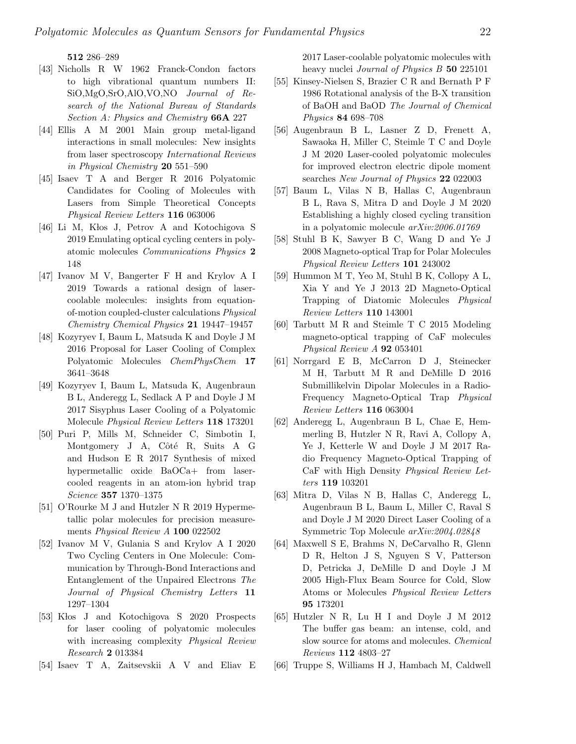512 286–289

- <span id="page-21-0"></span>[43] Nicholls R W 1962 Franck-Condon factors to high vibrational quantum numbers II: SiO,MgO,SrO,AlO,VO,NO Journal of Research of the National Bureau of Standards Section A: Physics and Chemistry 66A 227
- <span id="page-21-1"></span>[44] Ellis A M 2001 Main group metal-ligand interactions in small molecules: New insights from laser spectroscopy International Reviews in Physical Chemistry 20 551–590
- <span id="page-21-2"></span>[45] Isaev T A and Berger R 2016 Polyatomic Candidates for Cooling of Molecules with Lasers from Simple Theoretical Concepts Physical Review Letters 116 063006
- <span id="page-21-3"></span>[46] Li M, Kłos J, Petrov A and Kotochigova S 2019 Emulating optical cycling centers in polyatomic molecules Communications Physics 2 148
- <span id="page-21-4"></span>[47] Ivanov M V, Bangerter F H and Krylov A I 2019 Towards a rational design of lasercoolable molecules: insights from equationof-motion coupled-cluster calculations Physical Chemistry Chemical Physics 21 19447–19457
- <span id="page-21-5"></span>[48] Kozyryev I, Baum L, Matsuda K and Doyle J M 2016 Proposal for Laser Cooling of Complex Polyatomic Molecules ChemPhysChem 17 3641–3648
- <span id="page-21-6"></span>[49] Kozyryev I, Baum L, Matsuda K, Augenbraun B L, Anderegg L, Sedlack A P and Doyle J M 2017 Sisyphus Laser Cooling of a Polyatomic Molecule Physical Review Letters 118 173201
- <span id="page-21-7"></span>[50] Puri P, Mills M, Schneider C, Simbotin I, Montgomery J A, Côté R, Suits A G and Hudson E R 2017 Synthesis of mixed hypermetallic oxide BaOCa+ from lasercooled reagents in an atom-ion hybrid trap Science 357 1370–1375
- <span id="page-21-8"></span>[51] O'Rourke M J and Hutzler N R 2019 Hypermetallic polar molecules for precision measurements Physical Review A 100 022502
- <span id="page-21-9"></span>[52] Ivanov M V, Gulania S and Krylov A I 2020 Two Cycling Centers in One Molecule: Communication by Through-Bond Interactions and Entanglement of the Unpaired Electrons The Journal of Physical Chemistry Letters 11 1297–1304
- <span id="page-21-10"></span>[53] Klos J and Kotochigova S 2020 Prospects for laser cooling of polyatomic molecules with increasing complexity Physical Review Research 2 013384
- <span id="page-21-11"></span>[54] Isaev T A, Zaitsevskii A V and Eliav E

2017 Laser-coolable polyatomic molecules with heavy nuclei *Journal of Physics B* 50 225101

- <span id="page-21-18"></span>[55] Kinsey-Nielsen S, Brazier C R and Bernath P F 1986 Rotational analysis of the B-X transition of BaOH and BaOD The Journal of Chemical Physics 84 698–708
- <span id="page-21-19"></span>[56] Augenbraun B L, Lasner Z D, Frenett A, Sawaoka H, Miller C, Steimle T C and Doyle J M 2020 Laser-cooled polyatomic molecules for improved electron electric dipole moment searches New Journal of Physics 22 022003
- <span id="page-21-20"></span>[57] Baum L, Vilas N B, Hallas C, Augenbraun B L, Rava S, Mitra D and Doyle J M 2020 Establishing a highly closed cycling transition in a polyatomic molecule arXiv:2006.01769
- <span id="page-21-12"></span>[58] Stuhl B K, Sawyer B C, Wang D and Ye J 2008 Magneto-optical Trap for Polar Molecules Physical Review Letters 101 243002
- <span id="page-21-13"></span>[59] Hummon M T, Yeo M, Stuhl B K, Collopy A L, Xia Y and Ye J 2013 2D Magneto-Optical Trapping of Diatomic Molecules Physical Review Letters 110 143001
- <span id="page-21-14"></span>[60] Tarbutt M R and Steimle T C 2015 Modeling magneto-optical trapping of CaF molecules Physical Review A **92** 053401
- <span id="page-21-15"></span>[61] Norrgard E B, McCarron D J, Steinecker M H, Tarbutt M R and DeMille D 2016 Submillikelvin Dipolar Molecules in a Radio-Frequency Magneto-Optical Trap Physical Review Letters 116 063004
- <span id="page-21-16"></span>[62] Anderegg L, Augenbraun B L, Chae E, Hemmerling B, Hutzler N R, Ravi A, Collopy A, Ye J, Ketterle W and Doyle J M 2017 Radio Frequency Magneto-Optical Trapping of CaF with High Density Physical Review Letters 119 103201
- <span id="page-21-17"></span>[63] Mitra D, Vilas N B, Hallas C, Anderegg L, Augenbraun B L, Baum L, Miller C, Raval S and Doyle J M 2020 Direct Laser Cooling of a Symmetric Top Molecule arXiv:2004.02848
- <span id="page-21-21"></span>[64] Maxwell S E, Brahms N, DeCarvalho R, Glenn D R, Helton J S, Nguyen S V, Patterson D, Petricka J, DeMille D and Doyle J M 2005 High-Flux Beam Source for Cold, Slow Atoms or Molecules Physical Review Letters 95 173201
- <span id="page-21-22"></span>[65] Hutzler N R, Lu H I and Doyle J M 2012 The buffer gas beam: an intense, cold, and slow source for atoms and molecules. Chemical Reviews 112 4803–27
- <span id="page-21-23"></span>[66] Truppe S, Williams H J, Hambach M, Caldwell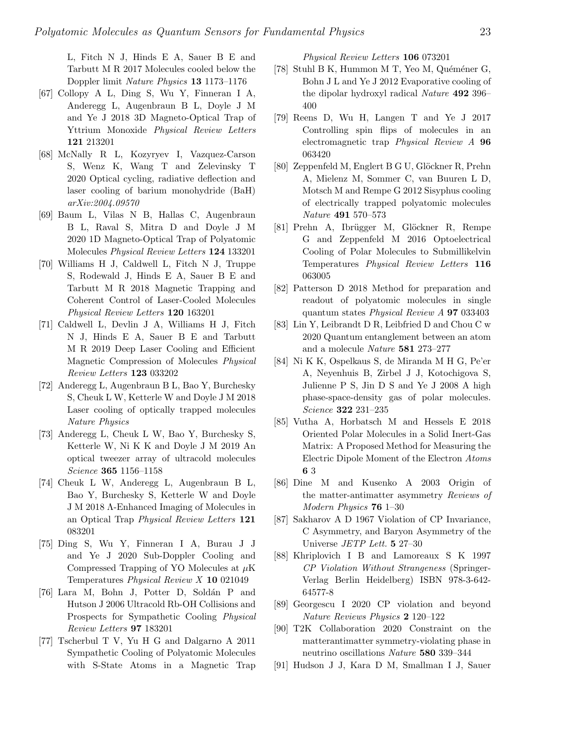L, Fitch N J, Hinds E A, Sauer B E and Tarbutt M R 2017 Molecules cooled below the Doppler limit Nature Physics 13 1173–1176

- <span id="page-22-0"></span>[67] Collopy A L, Ding S, Wu Y, Finneran I A, Anderegg L, Augenbraun B L, Doyle J M and Ye J 2018 3D Magneto-Optical Trap of Yttrium Monoxide Physical Review Letters 121 213201
- <span id="page-22-1"></span>[68] McNally R L, Kozyryev I, Vazquez-Carson S, Wenz K, Wang T and Zelevinsky T 2020 Optical cycling, radiative deflection and laser cooling of barium monohydride (BaH) arXiv:2004.09570
- <span id="page-22-2"></span>[69] Baum L, Vilas N B, Hallas C, Augenbraun B L, Raval S, Mitra D and Doyle J M 2020 1D Magneto-Optical Trap of Polyatomic Molecules Physical Review Letters 124 133201
- <span id="page-22-3"></span>[70] Williams H J, Caldwell L, Fitch N J, Truppe S, Rodewald J, Hinds E A, Sauer B E and Tarbutt M R 2018 Magnetic Trapping and Coherent Control of Laser-Cooled Molecules Physical Review Letters 120 163201
- <span id="page-22-4"></span>[71] Caldwell L, Devlin J A, Williams H J, Fitch N J, Hinds E A, Sauer B E and Tarbutt M R 2019 Deep Laser Cooling and Efficient Magnetic Compression of Molecules Physical Review Letters 123 033202
- <span id="page-22-5"></span>[72] Anderegg L, Augenbraun B L, Bao Y, Burchesky S, Cheuk L W, Ketterle W and Doyle J M 2018 Laser cooling of optically trapped molecules Nature Physics
- <span id="page-22-6"></span>[73] Anderegg L, Cheuk L W, Bao Y, Burchesky S, Ketterle W, Ni K K and Doyle J M 2019 An optical tweezer array of ultracold molecules Science 365 1156–1158
- <span id="page-22-7"></span>[74] Cheuk L W, Anderegg L, Augenbraun B L, Bao Y, Burchesky S, Ketterle W and Doyle J M 2018 Λ-Enhanced Imaging of Molecules in an Optical Trap Physical Review Letters 121 083201
- <span id="page-22-8"></span>[75] Ding S, Wu Y, Finneran I A, Burau J J and Ye J 2020 Sub-Doppler Cooling and Compressed Trapping of YO Molecules at  $\mu$ K Temperatures Physical Review X 10 021049
- <span id="page-22-9"></span>[76] Lara M, Bohn J, Potter D, Soldán P and Hutson J 2006 Ultracold Rb-OH Collisions and Prospects for Sympathetic Cooling Physical Review Letters 97 183201
- <span id="page-22-10"></span>[77] Tscherbul T V, Yu H G and Dalgarno A 2011 Sympathetic Cooling of Polyatomic Molecules with S-State Atoms in a Magnetic Trap

Physical Review Letters 106 073201

- <span id="page-22-11"></span>[78] Stuhl B K, Hummon M T, Yeo M, Quéméner G, Bohn J L and Ye J 2012 Evaporative cooling of the dipolar hydroxyl radical Nature 492 396– 400
- <span id="page-22-12"></span>[79] Reens D, Wu H, Langen T and Ye J 2017 Controlling spin flips of molecules in an electromagnetic trap Physical Review A 96 063420
- <span id="page-22-13"></span>[80] Zeppenfeld M, Englert B G U, Glöckner R, Prehn A, Mielenz M, Sommer C, van Buuren L D, Motsch M and Rempe G 2012 Sisyphus cooling of electrically trapped polyatomic molecules Nature 491 570–573
- <span id="page-22-14"></span>[81] Prehn A, Ibrügger M, Glöckner R, Rempe G and Zeppenfeld M 2016 Optoelectrical Cooling of Polar Molecules to Submillikelvin Temperatures Physical Review Letters 116 063005
- <span id="page-22-15"></span>[82] Patterson D 2018 Method for preparation and readout of polyatomic molecules in single quantum states Physical Review A 97 033403
- <span id="page-22-16"></span>[83] Lin Y, Leibrandt D R, Leibfried D and Chou C w 2020 Quantum entanglement between an atom and a molecule Nature 581 273–277
- <span id="page-22-17"></span>[84] Ni K K, Ospelkaus S, de Miranda M H G, Pe'er A, Neyenhuis B, Zirbel J J, Kotochigova S, Julienne P S, Jin D S and Ye J 2008 A high phase-space-density gas of polar molecules. Science 322 231–235
- <span id="page-22-18"></span>[85] Vutha A, Horbatsch M and Hessels E 2018 Oriented Polar Molecules in a Solid Inert-Gas Matrix: A Proposed Method for Measuring the Electric Dipole Moment of the Electron Atoms 6 3
- <span id="page-22-19"></span>[86] Dine M and Kusenko A 2003 Origin of the matter-antimatter asymmetry Reviews of Modern Physics 76 1-30
- <span id="page-22-20"></span>[87] Sakharov A D 1967 Violation of CP Invariance, C Asymmetry, and Baryon Asymmetry of the Universe JETP Lett. 5 27–30
- <span id="page-22-21"></span>[88] Khriplovich I B and Lamoreaux S K 1997 CP Violation Without Strangeness (Springer-Verlag Berlin Heidelberg) ISBN 978-3-642- 64577-8
- <span id="page-22-22"></span>[89] Georgescu I 2020 CP violation and beyond Nature Reviews Physics 2 120-122
- <span id="page-22-23"></span>[90] T2K Collaboration 2020 Constraint on the matterantimatter symmetry-violating phase in neutrino oscillations Nature 580 339–344
- <span id="page-22-24"></span>[91] Hudson J J, Kara D M, Smallman I J, Sauer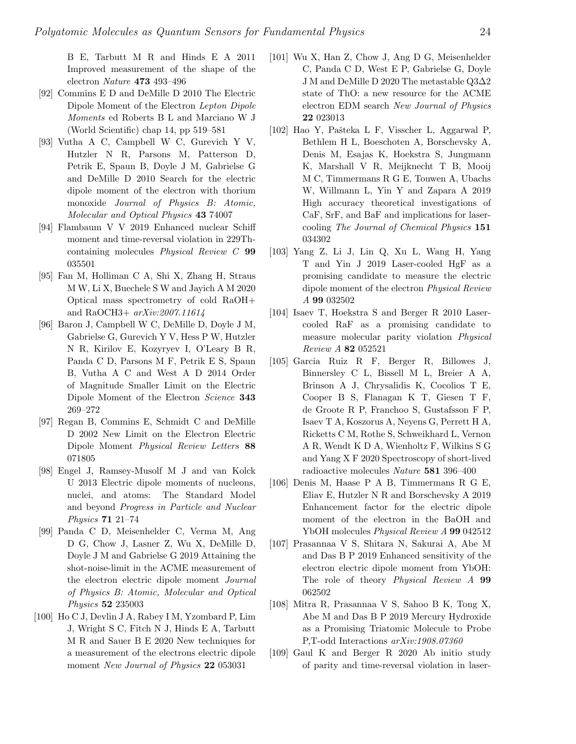B E, Tarbutt M R and Hinds E A 2011 Improved measurement of the shape of the electron Nature 473 493–496

- <span id="page-23-0"></span>[92] Commins E D and DeMille D 2010 The Electric Dipole Moment of the Electron Lepton Dipole Moments ed Roberts B L and Marciano W J (World Scientific) chap 14, pp 519–581
- <span id="page-23-1"></span>[93] Vutha A C, Campbell W C, Gurevich Y V, Hutzler N R, Parsons M, Patterson D, Petrik E, Spaun B, Doyle J M, Gabrielse G and DeMille D 2010 Search for the electric dipole moment of the electron with thorium monoxide Journal of Physics B: Atomic, Molecular and Optical Physics 43 74007
- <span id="page-23-2"></span>[94] Flambaum V V 2019 Enhanced nuclear Schiff moment and time-reversal violation in 229Thcontaining molecules Physical Review C 99 035501
- <span id="page-23-3"></span>[95] Fan M, Holliman C A, Shi X, Zhang H, Straus M W, Li X, Buechele S W and Jayich A M 2020 Optical mass spectrometry of cold RaOH+ and RaOCH3+ arXiv:2007.11614
- <span id="page-23-4"></span>[96] Baron J, Campbell W C, DeMille D, Doyle J M, Gabrielse G, Gurevich Y V, Hess P W, Hutzler N R, Kirilov E, Kozyryev I, O'Leary B R, Panda C D, Parsons M F, Petrik E S, Spaun B, Vutha A C and West A D 2014 Order of Magnitude Smaller Limit on the Electric Dipole Moment of the Electron Science 343 269–272
- <span id="page-23-5"></span>[97] Regan B, Commins E, Schmidt C and DeMille D 2002 New Limit on the Electron Electric Dipole Moment Physical Review Letters 88 071805
- <span id="page-23-6"></span>[98] Engel J, Ramsey-Musolf M J and van Kolck U 2013 Electric dipole moments of nucleons, nuclei, and atoms: The Standard Model and beyond Progress in Particle and Nuclear Physics 71 21–74
- <span id="page-23-7"></span>[99] Panda C D, Meisenhelder C, Verma M, Ang D G, Chow J, Lasner Z, Wu X, DeMille D, Doyle J M and Gabrielse G 2019 Attaining the shot-noise-limit in the ACME measurement of the electron electric dipole moment Journal of Physics B: Atomic, Molecular and Optical Physics 52 235003
- <span id="page-23-8"></span>[100] Ho C J, Devlin J A, Rabey I M, Yzombard P, Lim J, Wright S C, Fitch N J, Hinds E A, Tarbutt M R and Sauer B E 2020 New techniques for a measurement of the electrons electric dipole moment New Journal of Physics 22 053031
- <span id="page-23-9"></span>[101] Wu X, Han Z, Chow J, Ang D G, Meisenhelder C, Panda C D, West E P, Gabrielse G, Doyle J M and DeMille D 2020 The metastable Q3∆2 state of ThO: a new resource for the ACME electron EDM search New Journal of Physics 22 023013
- <span id="page-23-10"></span>[102] Hao Y, Paˇsteka L F, Visscher L, Aggarwal P, Bethlem H L, Boeschoten A, Borschevsky A, Denis M, Esajas K, Hoekstra S, Jungmann K, Marshall V R, Meijknecht T B, Mooij M C, Timmermans R G E, Touwen A, Ubachs W, Willmann L, Yin Y and Zapara A 2019 High accuracy theoretical investigations of CaF, SrF, and BaF and implications for lasercooling The Journal of Chemical Physics 151 034302
- <span id="page-23-11"></span>[103] Yang Z, Li J, Lin Q, Xu L, Wang H, Yang T and Yin J 2019 Laser-cooled HgF as a promising candidate to measure the electric dipole moment of the electron Physical Review A 99 032502
- <span id="page-23-12"></span>[104] Isaev T, Hoekstra S and Berger R 2010 Lasercooled RaF as a promising candidate to measure molecular parity violation Physical Review A 82 052521
- <span id="page-23-13"></span>[105] Garcia Ruiz R F, Berger R, Billowes J, Binnersley C L, Bissell M L, Breier A A, Brinson A J, Chrysalidis K, Cocolios T E, Cooper B S, Flanagan K T, Giesen T F, de Groote R P, Franchoo S, Gustafsson F P, Isaev T A, Koszorus A, Neyens G, Perrett H A, Ricketts C M, Rothe S, Schweikhard L, Vernon A R, Wendt K D A, Wienholtz F, Wilkins S G and Yang X F 2020 Spectroscopy of short-lived radioactive molecules Nature 581 396–400
- <span id="page-23-14"></span>[106] Denis M, Haase P A B, Timmermans R G E, Eliav E, Hutzler N R and Borschevsky A 2019 Enhancement factor for the electric dipole moment of the electron in the BaOH and YbOH molecules Physical Review A 99 042512
- <span id="page-23-15"></span>[107] Prasannaa V S, Shitara N, Sakurai A, Abe M and Das B P 2019 Enhanced sensitivity of the electron electric dipole moment from YbOH: The role of theory *Physical Review A* 99 062502
- <span id="page-23-16"></span>[108] Mitra R, Prasannaa V S, Sahoo B K, Tong X, Abe M and Das B P 2019 Mercury Hydroxide as a Promising Triatomic Molecule to Probe P,T-odd Interactions arXiv:1908.07360
- <span id="page-23-17"></span>[109] Gaul K and Berger R 2020 Ab initio study of parity and time-reversal violation in laser-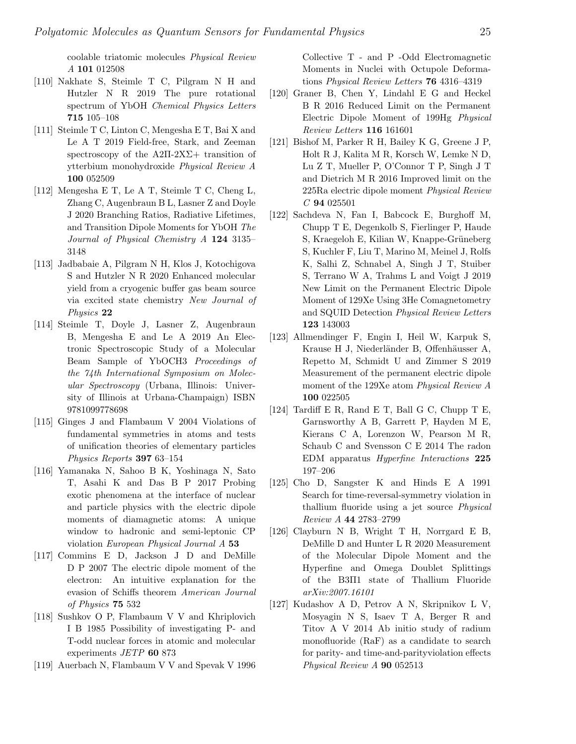coolable triatomic molecules Physical Review A 101 012508

- <span id="page-24-0"></span>[110] Nakhate S, Steimle T C, Pilgram N H and Hutzler N R 2019 The pure rotational spectrum of YbOH Chemical Physics Letters 715 105–108
- <span id="page-24-1"></span>[111] Steimle T C, Linton C, Mengesha E T, Bai X and Le A T 2019 Field-free, Stark, and Zeeman spectroscopy of the  $A2\Pi-2X\Sigma+$  transition of ytterbium monohydroxide Physical Review A 100 052509
- <span id="page-24-2"></span>[112] Mengesha E T, Le A T, Steimle T C, Cheng L, Zhang C, Augenbraun B L, Lasner Z and Doyle J 2020 Branching Ratios, Radiative Lifetimes, and Transition Dipole Moments for YbOH The Journal of Physical Chemistry A 124 3135– 3148
- <span id="page-24-3"></span>[113] Jadbabaie A, Pilgram N H, Klos J, Kotochigova S and Hutzler N R 2020 Enhanced molecular yield from a cryogenic buffer gas beam source via excited state chemistry New Journal of Physics 22
- <span id="page-24-4"></span>[114] Steimle T, Doyle J, Lasner Z, Augenbraun B, Mengesha E and Le A 2019 An Electronic Spectroscopic Study of a Molecular Beam Sample of YbOCH3 Proceedings of the 74th International Symposium on Molecular Spectroscopy (Urbana, Illinois: University of Illinois at Urbana-Champaign) ISBN 9781099778698
- <span id="page-24-5"></span>[115] Ginges J and Flambaum V 2004 Violations of fundamental symmetries in atoms and tests of unification theories of elementary particles Physics Reports 397 63–154
- <span id="page-24-6"></span>[116] Yamanaka N, Sahoo B K, Yoshinaga N, Sato T, Asahi K and Das B P 2017 Probing exotic phenomena at the interface of nuclear and particle physics with the electric dipole moments of diamagnetic atoms: A unique window to hadronic and semi-leptonic CP violation European Physical Journal A 53
- <span id="page-24-10"></span>[117] Commins E D, Jackson J D and DeMille D P 2007 The electric dipole moment of the electron: An intuitive explanation for the evasion of Schiffs theorem American Journal of Physics 75 532
- <span id="page-24-7"></span>[118] Sushkov O P, Flambaum V V and Khriplovich I B 1985 Possibility of investigating P- and T-odd nuclear forces in atomic and molecular experiments JETP 60 873
- <span id="page-24-8"></span>[119] Auerbach N, Flambaum V V and Spevak V 1996

Collective T - and P -Odd Electromagnetic Moments in Nuclei with Octupole Deformations Physical Review Letters 76 4316–4319

- <span id="page-24-9"></span>[120] Graner B, Chen Y, Lindahl E G and Heckel B R 2016 Reduced Limit on the Permanent Electric Dipole Moment of 199Hg Physical Review Letters 116 161601
- <span id="page-24-11"></span>[121] Bishof M, Parker R H, Bailey K G, Greene J P, Holt R J, Kalita M R, Korsch W, Lemke N D, Lu Z T, Mueller P, O'Connor T P, Singh J T and Dietrich M R 2016 Improved limit on the 225Ra electric dipole moment Physical Review C 94 025501
- <span id="page-24-12"></span>[122] Sachdeva N, Fan I, Babcock E, Burghoff M, Chupp T E, Degenkolb S, Fierlinger P, Haude S, Kraegeloh E, Kilian W, Knappe-Grüneberg S, Kuchler F, Liu T, Marino M, Meinel J, Rolfs K, Salhi Z, Schnabel A, Singh J T, Stuiber S, Terrano W A, Trahms L and Voigt J 2019 New Limit on the Permanent Electric Dipole Moment of 129Xe Using 3He Comagnetometry and SQUID Detection Physical Review Letters 123 143003
- <span id="page-24-13"></span>[123] Allmendinger F, Engin I, Heil W, Karpuk S, Krause H J, Niederländer B, Offenhäusser A, Repetto M, Schmidt U and Zimmer S 2019 Measurement of the permanent electric dipole moment of the 129Xe atom Physical Review A 100 022505
- <span id="page-24-14"></span>[124] Tardiff E R, Rand E T, Ball G C, Chupp T E, Garnsworthy A B, Garrett P, Hayden M E, Kierans C A, Lorenzon W, Pearson M R, Schaub C and Svensson C E 2014 The radon EDM apparatus Hyperfine Interactions 225 197–206
- <span id="page-24-15"></span>[125] Cho D, Sangster K and Hinds E A 1991 Search for time-reversal-symmetry violation in thallium fluoride using a jet source Physical Review A 44 2783–2799
- <span id="page-24-16"></span>[126] Clayburn N B, Wright T H, Norrgard E B, DeMille D and Hunter L R 2020 Measurement of the Molecular Dipole Moment and the Hyperfine and Omega Doublet Splittings of the B3Π1 state of Thallium Fluoride arXiv:2007.16101
- <span id="page-24-17"></span>[127] Kudashov A D, Petrov A N, Skripnikov L V, Mosyagin N S, Isaev T A, Berger R and Titov A V 2014 Ab initio study of radium monofluoride (RaF) as a candidate to search for parity- and time-and-parityviolation effects Physical Review A 90 052513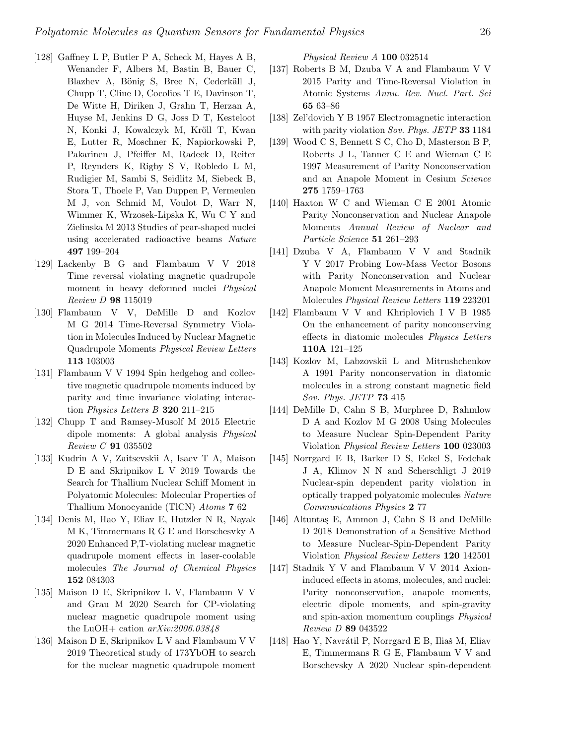- <span id="page-25-0"></span>[128] Gaffney L P, Butler P A, Scheck M, Hayes A B, Wenander F, Albers M, Bastin B, Bauer C, Blazhev A, Bönig S, Bree N, Cederkäll J, Chupp T, Cline D, Cocolios T E, Davinson T, De Witte H, Diriken J, Grahn T, Herzan A, Huyse M, Jenkins D G, Joss D T, Kesteloot N, Konki J, Kowalczyk M, Kröll T, Kwan E, Lutter R, Moschner K, Napiorkowski P, Pakarinen J, Pfeiffer M, Radeck D, Reiter P, Reynders K, Rigby S V, Robledo L M, Rudigier M, Sambi S, Seidlitz M, Siebeck B, Stora T, Thoele P, Van Duppen P, Vermeulen M J, von Schmid M, Voulot D, Warr N, Wimmer K, Wrzosek-Lipska K, Wu C Y and Zielinska M 2013 Studies of pear-shaped nuclei using accelerated radioactive beams Nature 497 199–204
- <span id="page-25-1"></span>[129] Lackenby B G and Flambaum V V 2018 Time reversal violating magnetic quadrupole moment in heavy deformed nuclei Physical Review D 98 115019
- <span id="page-25-2"></span>[130] Flambaum V V, DeMille D and Kozlov M G 2014 Time-Reversal Symmetry Violation in Molecules Induced by Nuclear Magnetic Quadrupole Moments Physical Review Letters 113 103003
- <span id="page-25-3"></span>[131] Flambaum V V 1994 Spin hedgehog and collective magnetic quadrupole moments induced by parity and time invariance violating interaction Physics Letters B 320 211–215
- <span id="page-25-4"></span>[132] Chupp T and Ramsey-Musolf M 2015 Electric dipole moments: A global analysis Physical Review C 91 035502
- <span id="page-25-5"></span>[133] Kudrin A V, Zaitsevskii A, Isaev T A, Maison D E and Skripnikov L V 2019 Towards the Search for Thallium Nuclear Schiff Moment in Polyatomic Molecules: Molecular Properties of Thallium Monocyanide (TlCN) Atoms 7 62
- <span id="page-25-6"></span>[134] Denis M, Hao Y, Eliav E, Hutzler N R, Nayak M K, Timmermans R G E and Borschesvky A 2020 Enhanced P,T-violating nuclear magnetic quadrupole moment effects in laser-coolable molecules The Journal of Chemical Physics 152 084303
- <span id="page-25-7"></span>[135] Maison D E, Skripnikov L V, Flambaum V V and Grau M 2020 Search for CP-violating nuclear magnetic quadrupole moment using the LuOH+ cation  $arXiv:2006.03848$
- <span id="page-25-8"></span>[136] Maison D E, Skripnikov L V and Flambaum V V 2019 Theoretical study of 173YbOH to search for the nuclear magnetic quadrupole moment

Physical Review A 100 032514

- <span id="page-25-9"></span>[137] Roberts B M, Dzuba V A and Flambaum V V 2015 Parity and Time-Reversal Violation in Atomic Systems Annu. Rev. Nucl. Part. Sci 65 63–86
- <span id="page-25-10"></span>[138] Zel'dovich Y B 1957 Electromagnetic interaction with parity violation Sov. Phys. JETP 33 1184
- <span id="page-25-11"></span>[139] Wood C S, Bennett S C, Cho D, Masterson B P, Roberts J L, Tanner C E and Wieman C E 1997 Measurement of Parity Nonconservation and an Anapole Moment in Cesium Science 275 1759–1763
- <span id="page-25-12"></span>[140] Haxton W C and Wieman C E 2001 Atomic Parity Nonconservation and Nuclear Anapole Moments Annual Review of Nuclear and Particle Science 51 261–293
- <span id="page-25-13"></span>[141] Dzuba V A, Flambaum V V and Stadnik Y V 2017 Probing Low-Mass Vector Bosons with Parity Nonconservation and Nuclear Anapole Moment Measurements in Atoms and Molecules Physical Review Letters 119 223201
- <span id="page-25-14"></span>[142] Flambaum V V and Khriplovich I V B 1985 On the enhancement of parity nonconserving effects in diatomic molecules Physics Letters 110A 121–125
- <span id="page-25-15"></span>[143] Kozlov M, Labzovskii L and Mitrushchenkov A 1991 Parity nonconservation in diatomic molecules in a strong constant magnetic field Sov. Phys. JETP 73 415
- <span id="page-25-16"></span>[144] DeMille D, Cahn S B, Murphree D, Rahmlow D A and Kozlov M G 2008 Using Molecules to Measure Nuclear Spin-Dependent Parity Violation Physical Review Letters 100 023003
- <span id="page-25-17"></span>[145] Norrgard E B, Barker D S, Eckel S, Fedchak J A, Klimov N N and Scherschligt J 2019 Nuclear-spin dependent parity violation in optically trapped polyatomic molecules Nature Communications Physics 2 77
- <span id="page-25-18"></span>[146] Altuntaş E, Ammon J, Cahn S B and DeMille D 2018 Demonstration of a Sensitive Method to Measure Nuclear-Spin-Dependent Parity Violation Physical Review Letters 120 142501
- <span id="page-25-20"></span>[147] Stadnik Y V and Flambaum V V 2014 Axioninduced effects in atoms, molecules, and nuclei: Parity nonconservation, anapole moments, electric dipole moments, and spin-gravity and spin-axion momentum couplings Physical Review D 89 043522
- <span id="page-25-19"></span>[148] Hao Y, Navrátil P, Norrgard E B, Iliaš M, Eliav E, Timmermans R G E, Flambaum V V and Borschevsky A 2020 Nuclear spin-dependent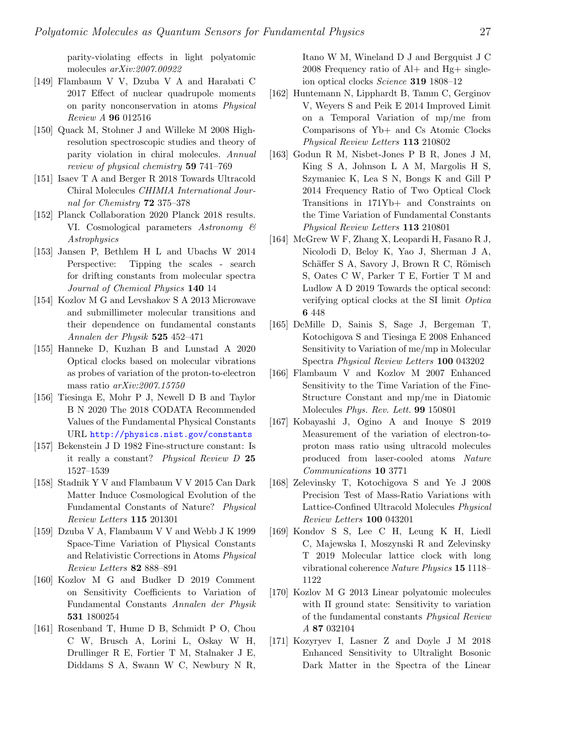parity-violating effects in light polyatomic molecules arXiv:2007.00922

- <span id="page-26-0"></span>[149] Flambaum V V, Dzuba V A and Harabati C 2017 Effect of nuclear quadrupole moments on parity nonconservation in atoms Physical Review A 96 012516
- <span id="page-26-1"></span>[150] Quack M, Stohner J and Willeke M 2008 Highresolution spectroscopic studies and theory of parity violation in chiral molecules. Annual review of physical chemistry 59 741–769
- <span id="page-26-2"></span>[151] Isaev T A and Berger R 2018 Towards Ultracold Chiral Molecules CHIMIA International Journal for Chemistry 72 375–378
- <span id="page-26-3"></span>[152] Planck Collaboration 2020 Planck 2018 results. VI. Cosmological parameters Astronomy & Astrophysics
- <span id="page-26-4"></span>[153] Jansen P, Bethlem H L and Ubachs W 2014 Perspective: Tipping the scales - search for drifting constants from molecular spectra Journal of Chemical Physics 140 14
- <span id="page-26-5"></span>[154] Kozlov M G and Levshakov S A 2013 Microwave and submillimeter molecular transitions and their dependence on fundamental constants Annalen der Physik 525 452–471
- <span id="page-26-6"></span>[155] Hanneke D, Kuzhan B and Lunstad A 2020 Optical clocks based on molecular vibrations as probes of variation of the proton-to-electron mass ratio arXiv:2007.15750
- <span id="page-26-7"></span>[156] Tiesinga E, Mohr P J, Newell D B and Taylor B N 2020 The 2018 CODATA Recommended Values of the Fundamental Physical Constants URL <http://physics.nist.gov/constants>
- <span id="page-26-8"></span>[157] Bekenstein J D 1982 Fine-structure constant: Is it really a constant? Physical Review D 25 1527–1539
- <span id="page-26-9"></span>[158] Stadnik Y V and Flambaum V V 2015 Can Dark Matter Induce Cosmological Evolution of the Fundamental Constants of Nature? Physical Review Letters 115 201301
- <span id="page-26-10"></span>[159] Dzuba V A, Flambaum V V and Webb J K 1999 Space-Time Variation of Physical Constants and Relativistic Corrections in Atoms Physical Review Letters 82 888–891
- <span id="page-26-11"></span>[160] Kozlov M G and Budker D 2019 Comment on Sensitivity Coefficients to Variation of Fundamental Constants Annalen der Physik 531 1800254
- <span id="page-26-12"></span>[161] Rosenband T, Hume D B, Schmidt P O, Chou C W, Brusch A, Lorini L, Oskay W H, Drullinger R E, Fortier T M, Stalnaker J E, Diddams S A, Swann W C, Newbury N R,

Itano W M, Wineland D J and Bergquist J C 2008 Frequency ratio of Al+ and Hg+ singleion optical clocks Science 319 1808–12

- <span id="page-26-13"></span>[162] Huntemann N, Lipphardt B, Tamm C, Gerginov V, Weyers S and Peik E 2014 Improved Limit on a Temporal Variation of mp/me from Comparisons of Yb+ and Cs Atomic Clocks Physical Review Letters 113 210802
- <span id="page-26-14"></span>[163] Godun R M, Nisbet-Jones P B R, Jones J M, King S A, Johnson L A M, Margolis H S, Szymaniec K, Lea S N, Bongs K and Gill P 2014 Frequency Ratio of Two Optical Clock Transitions in 171Yb+ and Constraints on the Time Variation of Fundamental Constants Physical Review Letters 113 210801
- <span id="page-26-15"></span>[164] McGrew W F, Zhang X, Leopardi H, Fasano R J, Nicolodi D, Beloy K, Yao J, Sherman J A, Schäffer S A, Savory J, Brown R C, Römisch S, Oates C W, Parker T E, Fortier T M and Ludlow A D 2019 Towards the optical second: verifying optical clocks at the SI limit Optica 6 448
- <span id="page-26-16"></span>[165] DeMille D, Sainis S, Sage J, Bergeman T, Kotochigova S and Tiesinga E 2008 Enhanced Sensitivity to Variation of me/mp in Molecular Spectra Physical Review Letters 100 043202
- <span id="page-26-17"></span>[166] Flambaum V and Kozlov M 2007 Enhanced Sensitivity to the Time Variation of the Fine-Structure Constant and mp/me in Diatomic Molecules Phys. Rev. Lett. 99 150801
- <span id="page-26-18"></span>[167] Kobayashi J, Ogino A and Inouye S 2019 Measurement of the variation of electron-toproton mass ratio using ultracold molecules produced from laser-cooled atoms Nature Communications 10 3771
- <span id="page-26-19"></span>[168] Zelevinsky T, Kotochigova S and Ye J 2008 Precision Test of Mass-Ratio Variations with Lattice-Confined Ultracold Molecules Physical Review Letters 100 043201
- <span id="page-26-20"></span>[169] Kondov S S, Lee C H, Leung K H, Liedl C, Majewska I, Moszynski R and Zelevinsky T 2019 Molecular lattice clock with long vibrational coherence Nature Physics 15 1118– 1122
- <span id="page-26-21"></span>[170] Kozlov M G 2013 Linear polyatomic molecules with Π ground state: Sensitivity to variation of the fundamental constants Physical Review A 87 032104
- <span id="page-26-22"></span>[171] Kozyryev I, Lasner Z and Doyle J M 2018 Enhanced Sensitivity to Ultralight Bosonic Dark Matter in the Spectra of the Linear